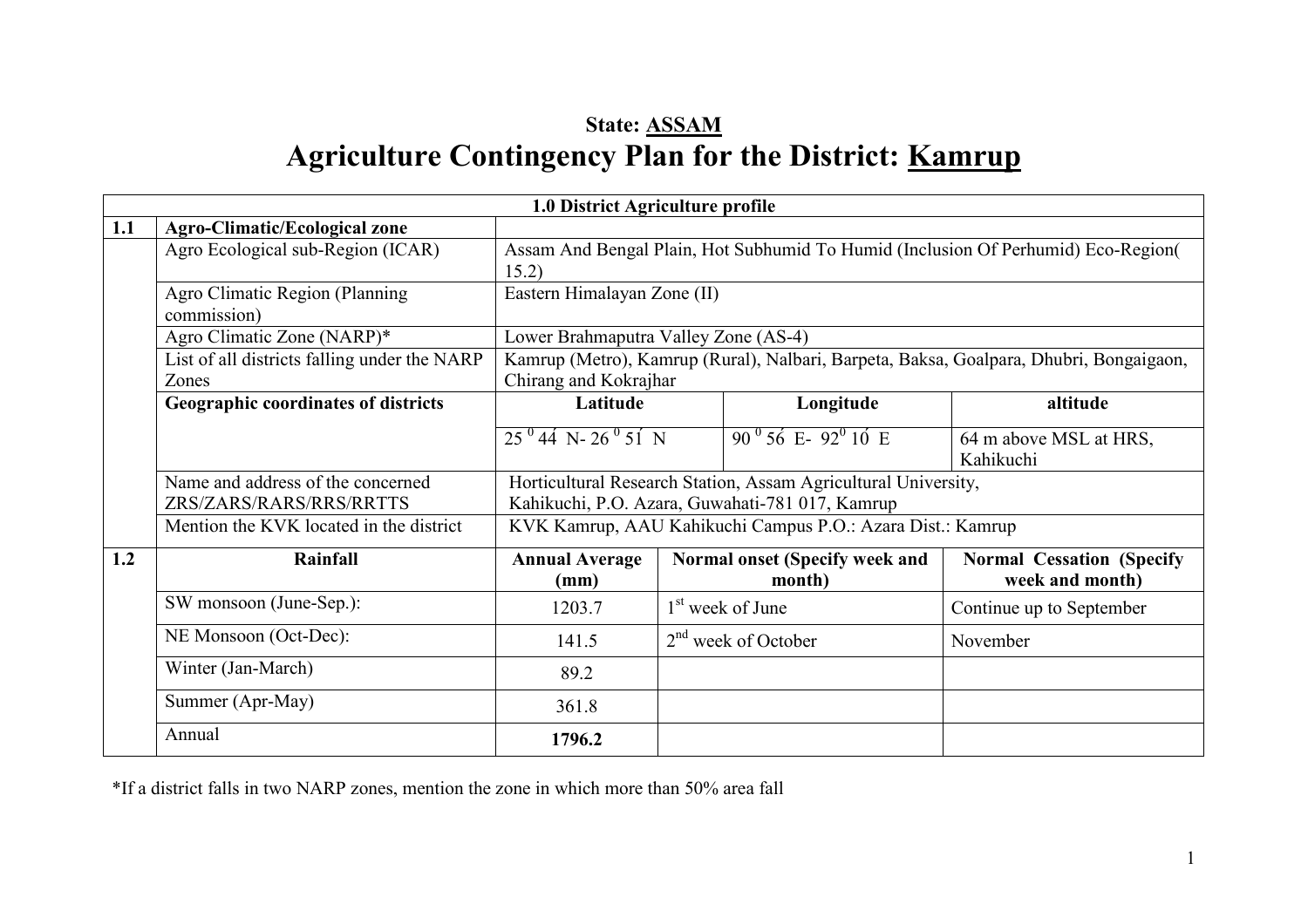# State: ASSAMAgriculture Contingency Plan for the District: <u>Kamrup</u>

|     |                                                              | 1.0 District Agriculture profile                                                                                  |  |                                                            |                                                                                        |  |
|-----|--------------------------------------------------------------|-------------------------------------------------------------------------------------------------------------------|--|------------------------------------------------------------|----------------------------------------------------------------------------------------|--|
| 1.1 | <b>Agro-Climatic/Ecological zone</b>                         |                                                                                                                   |  |                                                            |                                                                                        |  |
|     | Agro Ecological sub-Region (ICAR)                            | 15.2)                                                                                                             |  |                                                            | Assam And Bengal Plain, Hot Subhumid To Humid (Inclusion Of Perhumid) Eco-Region(      |  |
|     | Agro Climatic Region (Planning<br>commission)                | Eastern Himalayan Zone (II)                                                                                       |  |                                                            |                                                                                        |  |
|     | Agro Climatic Zone (NARP)*                                   | Lower Brahmaputra Valley Zone (AS-4)                                                                              |  |                                                            |                                                                                        |  |
|     | List of all districts falling under the NARP<br>Zones        | Chirang and Kokrajhar                                                                                             |  |                                                            | Kamrup (Metro), Kamrup (Rural), Nalbari, Barpeta, Baksa, Goalpara, Dhubri, Bongaigaon, |  |
|     | Geographic coordinates of districts                          | Latitude                                                                                                          |  | Longitude                                                  | altitude                                                                               |  |
|     |                                                              | $25^{0}44$ N- $26^{0}51$ N                                                                                        |  | $90^{0}$ 56 E- $92^{0}$ 10 E                               | 64 m above MSL at HRS,<br>Kahikuchi                                                    |  |
|     | Name and address of the concerned<br>ZRS/ZARS/RARS/RRS/RRTTS | Horticultural Research Station, Assam Agricultural University,<br>Kahikuchi, P.O. Azara, Guwahati-781 017, Kamrup |  |                                                            |                                                                                        |  |
|     | Mention the KVK located in the district                      |                                                                                                                   |  | KVK Kamrup, AAU Kahikuchi Campus P.O.: Azara Dist.: Kamrup |                                                                                        |  |
| 1.2 | <b>Rainfall</b>                                              | <b>Annual Average</b><br>(mm)                                                                                     |  | Normal onset (Specify week and<br>month)                   | <b>Normal Cessation (Specify</b><br>week and month)                                    |  |
|     | SW monsoon (June-Sep.):                                      | 1203.7                                                                                                            |  | 1 <sup>st</sup> week of June                               | Continue up to September                                                               |  |
|     | NE Monsoon (Oct-Dec):                                        | 141.5                                                                                                             |  | $2nd$ week of October                                      | November                                                                               |  |
|     | Winter (Jan-March)                                           | 89.2                                                                                                              |  |                                                            |                                                                                        |  |
|     | Summer (Apr-May)                                             | 361.8                                                                                                             |  |                                                            |                                                                                        |  |
|     | Annual                                                       | 1796.2                                                                                                            |  |                                                            |                                                                                        |  |

\*If a district falls in two NARP zones, mention the zone in which more than 50% area fall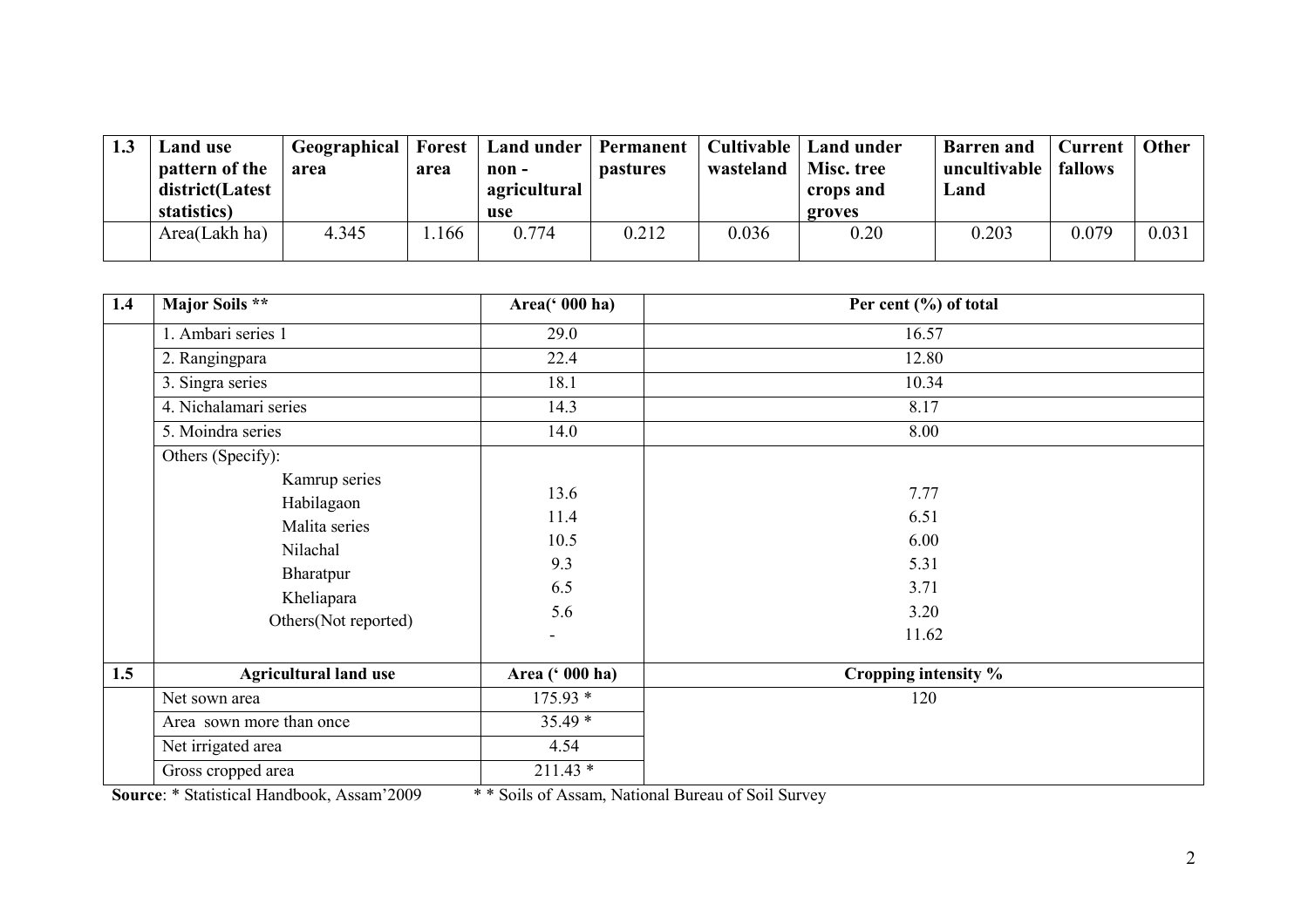| 1.3 | Land use<br>pattern of the<br>district(Latest<br>statistics) | <b>Geographical</b> Forest<br>area | area | Land under Permanent<br>non -<br>agricultural<br>use | <b>pastures</b> | Cultivable<br>wasteland | Land under<br>Misc. tree<br>crops and<br>groves | <b>Barren</b> and<br>uncultivable   fallows<br>Land | <b>Current</b> | Other |
|-----|--------------------------------------------------------------|------------------------------------|------|------------------------------------------------------|-----------------|-------------------------|-------------------------------------------------|-----------------------------------------------------|----------------|-------|
|     | Area(Lakh ha)                                                | 4.345                              | 166  | 0.774                                                | 0.212           | 0.036                   | 0.20                                            | 0.203                                               | 0.079          | 0.031 |

| 1.4 | Major Soils **                                                                                              | Area(' 000 ha)                                              | Per cent (%) of total                                 |  |
|-----|-------------------------------------------------------------------------------------------------------------|-------------------------------------------------------------|-------------------------------------------------------|--|
|     | 1. Ambari series 1                                                                                          | 29.0                                                        | 16.57                                                 |  |
|     | 2. Rangingpara                                                                                              | 22.4                                                        | 12.80                                                 |  |
|     | 3. Singra series                                                                                            | 18.1                                                        | 10.34                                                 |  |
|     | 4. Nichalamari series                                                                                       | 14.3                                                        | 8.17                                                  |  |
|     | 5. Moindra series                                                                                           | 14.0                                                        | 8.00                                                  |  |
|     | Others (Specify):                                                                                           |                                                             |                                                       |  |
|     | Kamrup series<br>Habilagaon<br>Malita series<br>Nilachal<br>Bharatpur<br>Kheliapara<br>Others(Not reported) | 13.6<br>11.4<br>10.5<br>9.3<br>6.5<br>5.6<br>$\blacksquare$ | 7.77<br>6.51<br>6.00<br>5.31<br>3.71<br>3.20<br>11.62 |  |
| 1.5 | <b>Agricultural land use</b>                                                                                | Area (' 000 ha)                                             | Cropping intensity %                                  |  |
|     | Net sown area                                                                                               | $175.93*$                                                   | 120                                                   |  |
|     | Area sown more than once                                                                                    | $35.49*$                                                    |                                                       |  |
|     | Net irrigated area                                                                                          | 4.54                                                        |                                                       |  |
|     | Gross cropped area                                                                                          | $211.43*$                                                   |                                                       |  |

Source: \* Statistical Handbook, Assam'2009 \* \* Soils of Assam, National Bureau of Soil Survey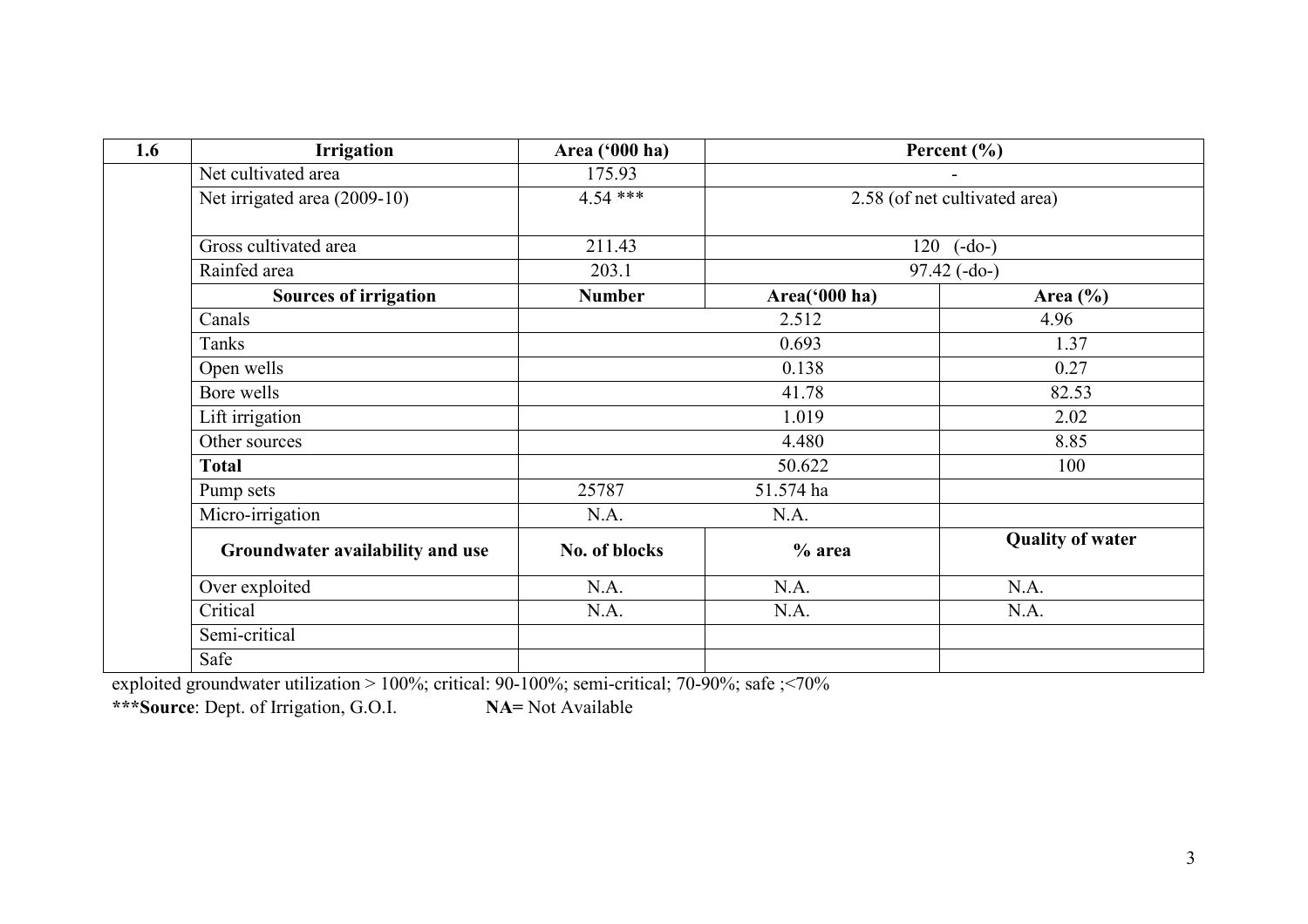| 1.6 | <b>Irrigation</b>                | Area ('000 ha) |               | Percent $(\% )$               |
|-----|----------------------------------|----------------|---------------|-------------------------------|
|     | Net cultivated area              | 175.93         |               |                               |
|     | Net irrigated area (2009-10)     | $4.54***$      |               | 2.58 (of net cultivated area) |
|     | Gross cultivated area            | 211.43         | 120           | $(-do-)$                      |
|     | Rainfed area                     | 203.1          |               | $97.42(-do-)$                 |
|     | <b>Sources of irrigation</b>     | <b>Number</b>  | Area('000 ha) | Area $(\% )$                  |
|     | Canals                           |                | 2.512         | 4.96                          |
|     | Tanks                            | 0.693          |               | 1.37                          |
|     | Open wells                       |                | 0.138         | 0.27                          |
|     | Bore wells                       |                | 41.78         | 82.53                         |
|     | Lift irrigation                  |                | 1.019         | 2.02                          |
|     | Other sources                    |                | 4.480         | 8.85                          |
|     | <b>Total</b>                     |                | 50.622        | 100                           |
|     | Pump sets                        | 25787          | 51.574 ha     |                               |
|     | Micro-irrigation                 | N.A.           | N.A.          |                               |
|     | Groundwater availability and use | No. of blocks  | $%$ area      | <b>Quality of water</b>       |
|     | Over exploited                   | N.A.           | N.A.          | N.A.                          |
|     | Critical                         | N.A.           | N.A.          | N.A.                          |
|     | Semi-critical                    |                |               |                               |
|     | Safe                             |                |               |                               |

exploited groundwater utilization > 100%; critical: 90-100%; semi-critical; 70-90%; safe ;<70%<br>\*\*\*Source: Dept. of Irrigation, G.O.I. NA= Not Available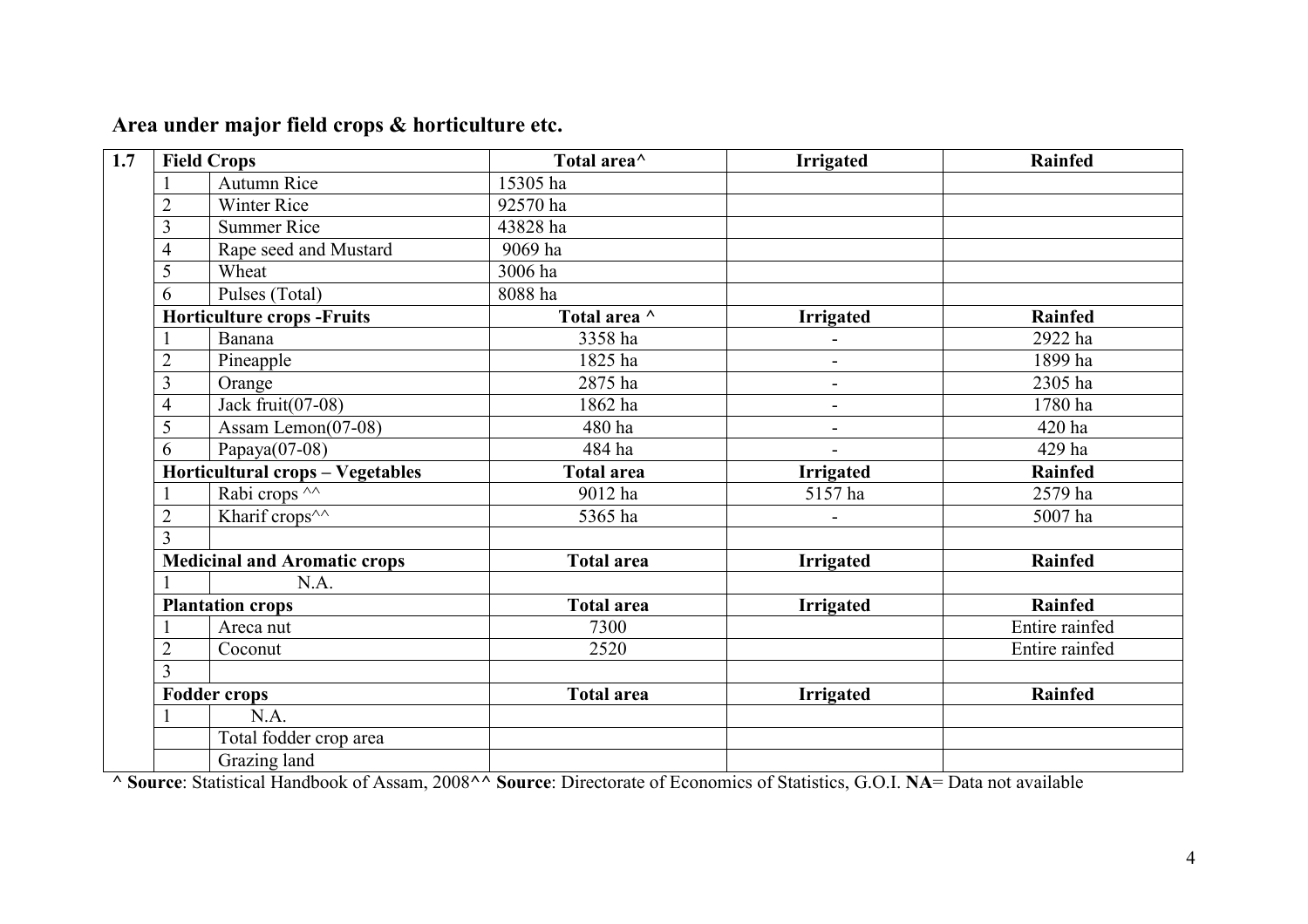# Area under major field crops & horticulture etc.

|                                                           | <b>Field Crops</b>                  | Total area <sup>^</sup> | <b>Irrigated</b>         | <b>Rainfed</b> |
|-----------------------------------------------------------|-------------------------------------|-------------------------|--------------------------|----------------|
|                                                           | <b>Autumn Rice</b>                  | 15305 ha                |                          |                |
| $\overline{2}$                                            | <b>Winter Rice</b>                  | 92570 ha                |                          |                |
| 3                                                         | <b>Summer Rice</b>                  | 43828 ha                |                          |                |
| $\overline{4}$                                            | Rape seed and Mustard               | 9069 ha                 |                          |                |
| $\overline{5}$                                            | Wheat                               | 3006 ha                 |                          |                |
| 6                                                         | Pulses (Total)                      | 8088 ha                 |                          |                |
|                                                           | <b>Horticulture crops -Fruits</b>   | Total area ^            | <b>Irrigated</b>         | Rainfed        |
|                                                           | <b>Banana</b>                       | 3358 ha                 |                          | 2922 ha        |
| $\overline{2}$                                            | Pineapple                           | 1825 ha                 | $\overline{a}$           | 1899 ha        |
| 3                                                         | Orange                              | 2875 ha                 | $\overline{\phantom{a}}$ | 2305 ha        |
| $\overline{4}$                                            | Jack fruit $(07-08)$                | 1862 ha                 | $\overline{\phantom{a}}$ | 1780 ha        |
| 5                                                         | Assam Lemon(07-08)                  | 480 ha                  | $\overline{\phantom{a}}$ | 420 ha         |
| Papaya $(07-08)$<br>6<br>Horticultural crops - Vegetables |                                     | 484 ha                  | $\overline{\phantom{a}}$ | 429 ha         |
|                                                           |                                     | <b>Total area</b>       | <b>Irrigated</b>         | <b>Rainfed</b> |
|                                                           | Rabi crops $\sqrt{\wedge}$          | 9012 ha                 | 5157 ha                  | 2579 ha        |
| $\overline{2}$                                            | Kharif crops <sup>^^</sup>          | 5365 ha                 |                          | 5007 ha        |
| $\overline{3}$                                            |                                     |                         |                          |                |
|                                                           | <b>Medicinal and Aromatic crops</b> | <b>Total area</b>       | <b>Irrigated</b>         | <b>Rainfed</b> |
|                                                           | N.A.                                |                         |                          |                |
|                                                           | <b>Plantation crops</b>             | <b>Total area</b>       | <b>Irrigated</b>         | <b>Rainfed</b> |
|                                                           | Areca nut                           | 7300                    |                          | Entire rainfed |
| $\overline{2}$                                            | Coconut                             | 2520                    |                          | Entire rainfed |
| $\overline{3}$                                            |                                     |                         |                          |                |
|                                                           | <b>Fodder crops</b>                 | <b>Total area</b>       | <b>Irrigated</b>         | Rainfed        |
|                                                           | N.A.                                |                         |                          |                |
|                                                           | Total fodder crop area              |                         |                          |                |
|                                                           | Grazing land                        |                         |                          |                |

^ Source: Statistical Handbook of Assam, 2008^^ Source: Directorate of Economics of Statistics, G.O.I. NA= Data not available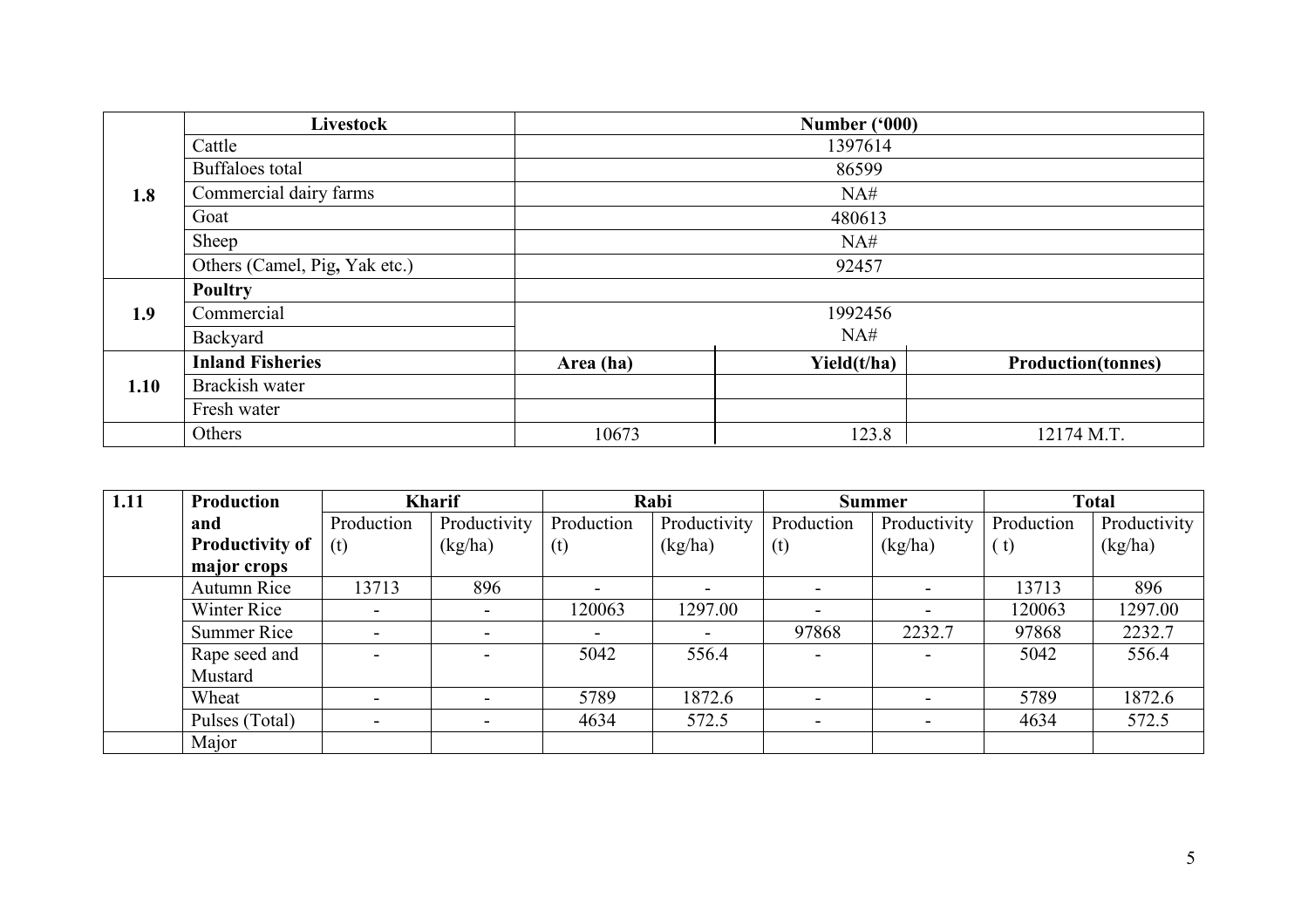|      | Livestock                     |           | Number ('000) |                           |  |  |  |
|------|-------------------------------|-----------|---------------|---------------------------|--|--|--|
|      | Cattle                        |           | 1397614       |                           |  |  |  |
|      | Buffaloes total               | 86599     |               |                           |  |  |  |
| 1.8  | Commercial dairy farms        | NA#       |               |                           |  |  |  |
|      | Goat                          | 480613    |               |                           |  |  |  |
|      | Sheep                         | NA#       |               |                           |  |  |  |
|      | Others (Camel, Pig, Yak etc.) | 92457     |               |                           |  |  |  |
|      | <b>Poultry</b>                |           |               |                           |  |  |  |
| 1.9  | Commercial                    |           | 1992456       |                           |  |  |  |
|      | Backyard                      |           | NA#           |                           |  |  |  |
|      | <b>Inland Fisheries</b>       | Area (ha) | Yield(t/ha)   | <b>Production(tonnes)</b> |  |  |  |
| 1.10 | Brackish water                |           |               |                           |  |  |  |
|      | Fresh water                   |           |               |                           |  |  |  |
|      | Others                        | 10673     | 123.8         | 12174 M.T.                |  |  |  |

| 1.11 | <b>Production</b>      | <b>Kharif</b>            |              |                          | Rabi         |                          | <b>Total</b><br><b>Summer</b> |            |              |
|------|------------------------|--------------------------|--------------|--------------------------|--------------|--------------------------|-------------------------------|------------|--------------|
|      | and                    | Production               | Productivity | Production               | Productivity | Production               | Productivity                  | Production | Productivity |
|      | <b>Productivity of</b> | (t)                      | (kg/ha)      | (t)                      | (kg/ha)      | (t)                      | (kg/ha)                       | (t)        | (kg/ha)      |
|      | major crops            |                          |              |                          |              |                          |                               |            |              |
|      | Autumn Rice            | 13713                    | 896          |                          |              |                          |                               | 13713      | 896          |
|      | Winter Rice            |                          |              | 120063                   | 1297.00      |                          |                               | 120063     | 1297.00      |
|      | <b>Summer Rice</b>     | $\overline{\phantom{0}}$ |              | $\overline{\phantom{0}}$ |              | 97868                    | 2232.7                        | 97868      | 2232.7       |
|      | Rape seed and          |                          |              | 5042                     | 556.4        | $\overline{\phantom{0}}$ |                               | 5042       | 556.4        |
|      | Mustard                |                          |              |                          |              |                          |                               |            |              |
|      | Wheat                  |                          |              | 5789                     | 1872.6       |                          |                               | 5789       | 1872.6       |
|      | Pulses (Total)         |                          |              | 4634                     | 572.5        | $\overline{\phantom{0}}$ |                               | 4634       | 572.5        |
|      | Major                  |                          |              |                          |              |                          |                               |            |              |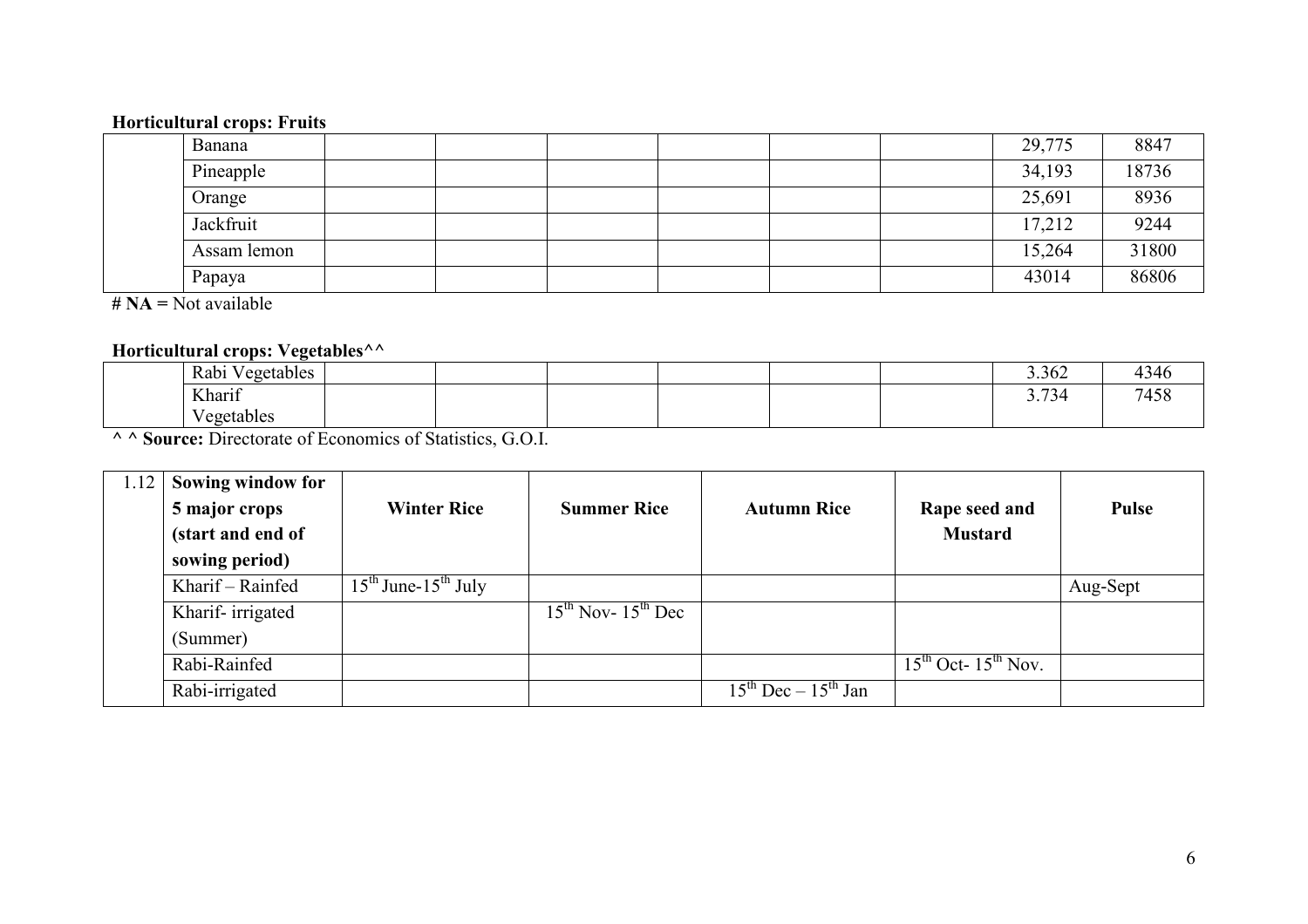### Horticultural crops: Fruits

| Banana      |  |  |  | 29,775 | 8847  |
|-------------|--|--|--|--------|-------|
| Pineapple   |  |  |  | 34,193 | 18736 |
| Orange      |  |  |  | 25,691 | 8936  |
| Jackfruit   |  |  |  | 17,212 | 9244  |
| Assam lemon |  |  |  | 15,264 | 31800 |
| Papaya      |  |  |  | 43014  | 86806 |

 $# NA = Not available$ 

# Horticultural crops: Vegetables<sup>^^</sup>

| Rabi Ve<br>Vegetables                                             |  |  |  | 3.362 | 4346 |
|-------------------------------------------------------------------|--|--|--|-------|------|
| Kharif                                                            |  |  |  | 3.734 | 7458 |
| T<br>Vegetables                                                   |  |  |  |       |      |
| A A <b>Source:</b> Directorate of Economics of Statistics, G.O.I. |  |  |  |       |      |

| 1.12 | Sowing window for |                                |                              |                               |                         |              |
|------|-------------------|--------------------------------|------------------------------|-------------------------------|-------------------------|--------------|
|      | 5 major crops     | <b>Winter Rice</b>             | <b>Summer Rice</b>           | <b>Autumn Rice</b>            | Rape seed and           | <b>Pulse</b> |
|      | (start and end of |                                |                              |                               | <b>Mustard</b>          |              |
|      | sowing period)    |                                |                              |                               |                         |              |
|      | Kharif - Rainfed  | $15^{th}$ June- $15^{th}$ July |                              |                               |                         | Aug-Sept     |
|      | Kharif-irrigated  |                                | $15^{th}$ Nov- $15^{th}$ Dec |                               |                         |              |
|      | (Summer)          |                                |                              |                               |                         |              |
|      | Rabi-Rainfed      |                                |                              |                               | $15th$ Oct- $15th$ Nov. |              |
|      | Rabi-irrigated    |                                |                              | $15^{th}$ Dec – $15^{th}$ Jan |                         |              |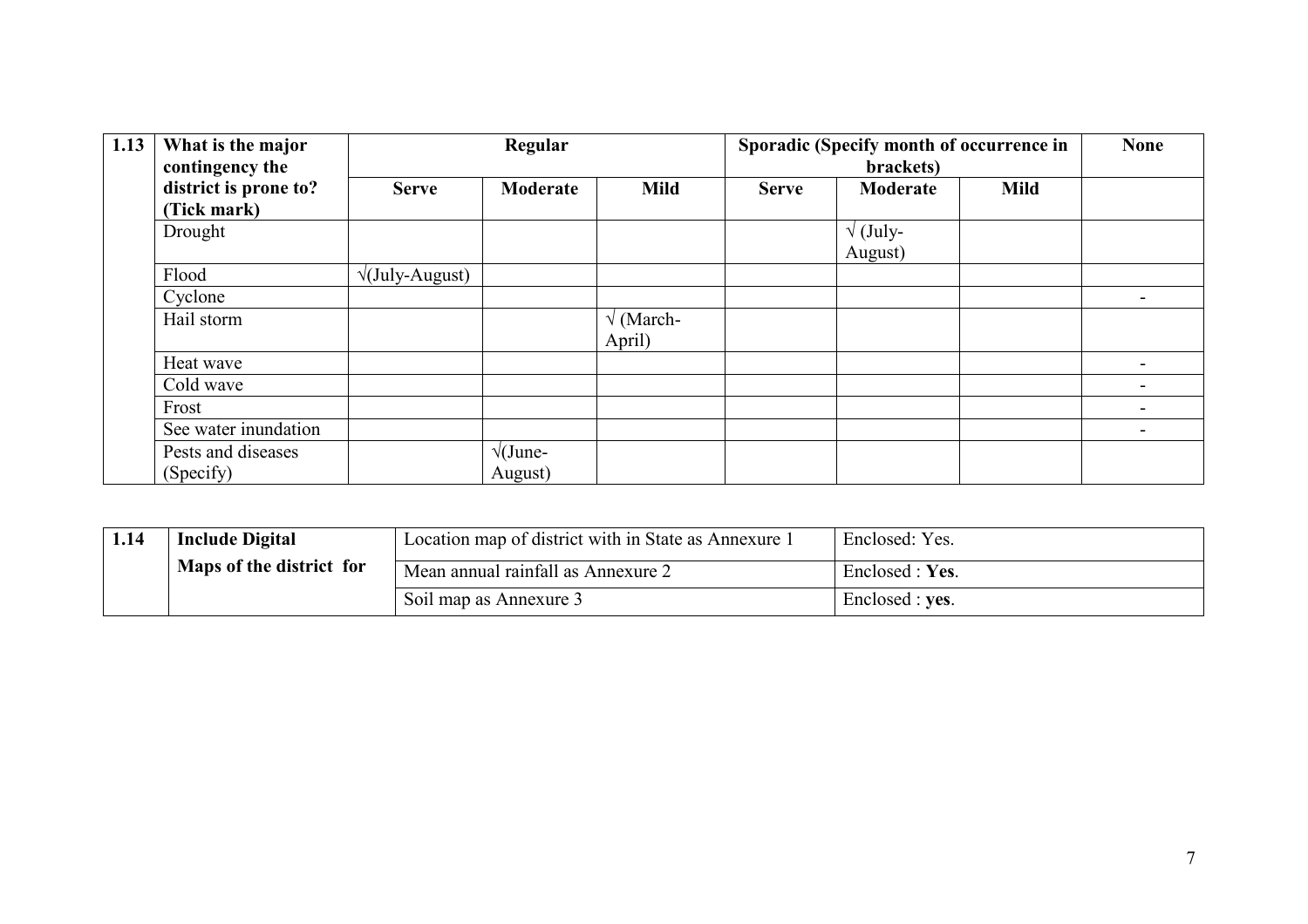| 1.13 | What is the major<br>contingency the |                             | Regular              |                                  |              | Sporadic (Specify month of occurrence in<br>brackets) |             | <b>None</b> |
|------|--------------------------------------|-----------------------------|----------------------|----------------------------------|--------------|-------------------------------------------------------|-------------|-------------|
|      | district is prone to?                | <b>Serve</b>                | Moderate             | <b>Mild</b>                      | <b>Serve</b> | Moderate                                              | <b>Mild</b> |             |
|      | (Tick mark)                          |                             |                      |                                  |              |                                                       |             |             |
|      | Drought                              |                             |                      |                                  |              | $\sqrt{\text{(July-1)}}$                              |             |             |
|      |                                      |                             |                      |                                  |              | August)                                               |             |             |
|      | Flood                                | $\sqrt{\text{July-August}}$ |                      |                                  |              |                                                       |             |             |
|      | Cyclone                              |                             |                      |                                  |              |                                                       |             |             |
|      | Hail storm                           |                             |                      | $\sqrt{\text{March-}}$<br>April) |              |                                                       |             |             |
|      | Heat wave                            |                             |                      |                                  |              |                                                       |             |             |
|      | Cold wave                            |                             |                      |                                  |              |                                                       |             |             |
|      | Frost                                |                             |                      |                                  |              |                                                       |             |             |
|      | See water inundation                 |                             |                      |                                  |              |                                                       |             |             |
|      | Pests and diseases                   |                             | $\sqrt{\text{June}}$ |                                  |              |                                                       |             |             |
|      | (Specify)                            |                             | August)              |                                  |              |                                                       |             |             |

| 1.14 | <b>Include Digital</b>   | Location map of district with in State as Annexure 1 | Enclosed: Yes.  |  |
|------|--------------------------|------------------------------------------------------|-----------------|--|
|      | Maps of the district for | Mean annual rainfall as Annexure 2                   | Enclosed : Yes. |  |
|      |                          | Soil map as Annexure 3                               | Enclosed : yes. |  |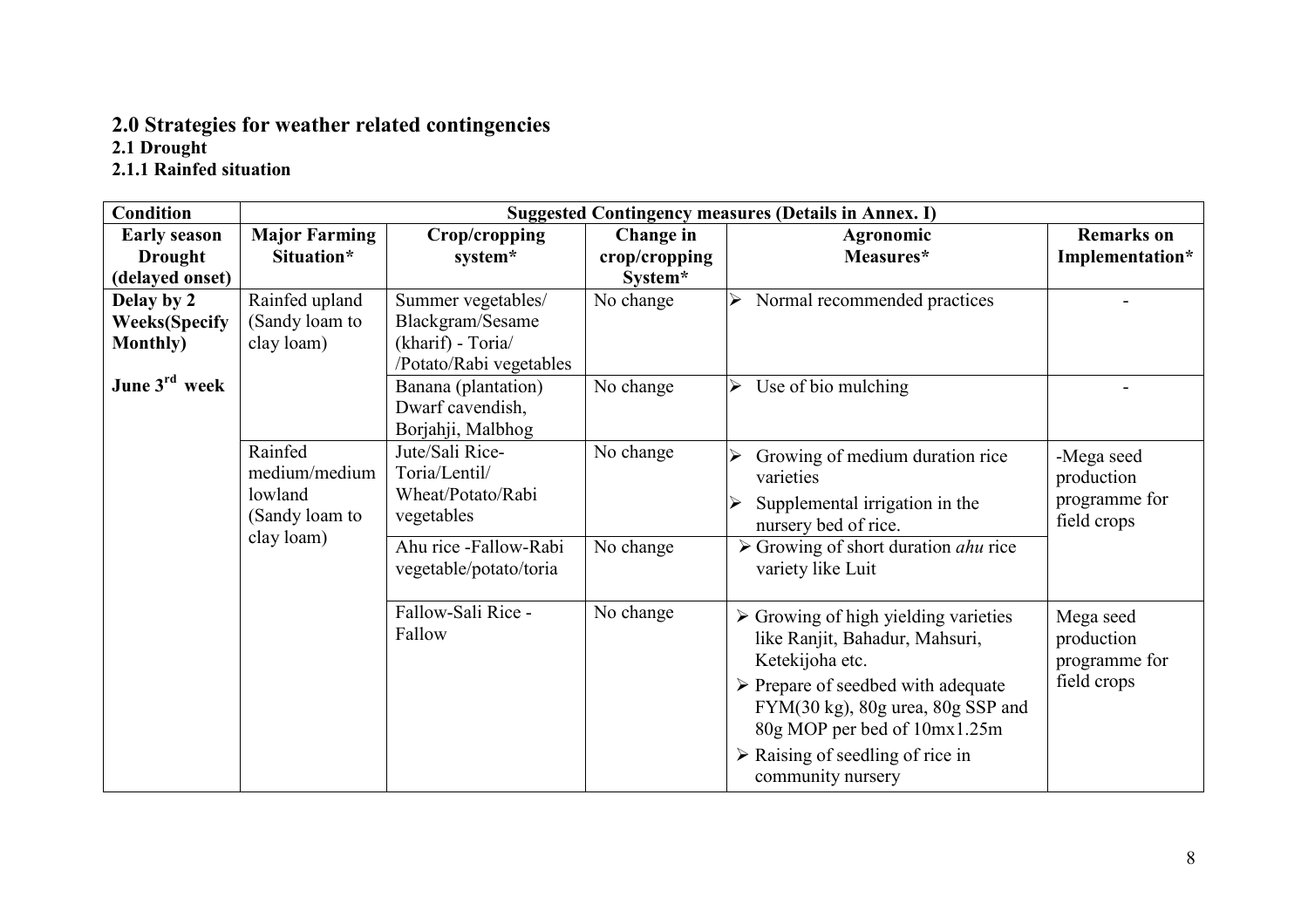# 2.0 Strategies for weather related contingencies 2.1 Drought 2.1.1 Rainfed situation

| <b>Condition</b>          | <b>Suggested Contingency measures (Details in Annex. I)</b> |                         |               |                                                            |                   |  |
|---------------------------|-------------------------------------------------------------|-------------------------|---------------|------------------------------------------------------------|-------------------|--|
| <b>Early season</b>       | <b>Major Farming</b>                                        | Crop/cropping           | Change in     | Agronomic                                                  | <b>Remarks</b> on |  |
| <b>Drought</b>            | Situation*                                                  | system*                 | crop/cropping | Measures*                                                  | Implementation*   |  |
| (delayed onset)           |                                                             |                         | System*       |                                                            |                   |  |
| Delay by 2                | Rainfed upland                                              | Summer vegetables/      | No change     | Normal recommended practices                               |                   |  |
| <b>Weeks</b> (Specify     | (Sandy loam to                                              | Blackgram/Sesame        |               |                                                            |                   |  |
| <b>Monthly</b> )          | clay loam)                                                  | (kharif) - Toria/       |               |                                                            |                   |  |
|                           |                                                             | /Potato/Rabi vegetables |               |                                                            |                   |  |
| June 3 <sup>rd</sup> week |                                                             | Banana (plantation)     | No change     | Use of bio mulching<br>≻                                   |                   |  |
|                           |                                                             | Dwarf cavendish,        |               |                                                            |                   |  |
|                           |                                                             | Borjahji, Malbhog       |               |                                                            |                   |  |
|                           | Rainfed                                                     | Jute/Sali Rice-         | No change     | Growing of medium duration rice                            | -Mega seed        |  |
|                           | medium/medium                                               | Toria/Lentil/           |               | varieties                                                  | production        |  |
|                           | lowland                                                     | Wheat/Potato/Rabi       |               | Supplemental irrigation in the                             | programme for     |  |
|                           | (Sandy loam to                                              | vegetables              |               | nursery bed of rice.                                       | field crops       |  |
|                           | clay loam)                                                  | Ahu rice -Fallow-Rabi   | No change     | $\triangleright$ Growing of short duration <i>ahu</i> rice |                   |  |
|                           |                                                             | vegetable/potato/toria  |               | variety like Luit                                          |                   |  |
|                           |                                                             |                         |               |                                                            |                   |  |
|                           |                                                             | Fallow-Sali Rice -      | No change     | $\triangleright$ Growing of high yielding varieties        | Mega seed         |  |
|                           |                                                             | Fallow                  |               | like Ranjit, Bahadur, Mahsuri,                             | production        |  |
|                           |                                                             |                         |               | Ketekijoha etc.                                            | programme for     |  |
|                           |                                                             |                         |               | $\triangleright$ Prepare of seedbed with adequate          | field crops       |  |
|                           |                                                             |                         |               | $FYM(30 kg)$ , 80g urea, 80g SSP and                       |                   |  |
|                           |                                                             |                         |               | 80g MOP per bed of 10mx1.25m                               |                   |  |
|                           |                                                             |                         |               | $\triangleright$ Raising of seedling of rice in            |                   |  |
|                           |                                                             |                         |               | community nursery                                          |                   |  |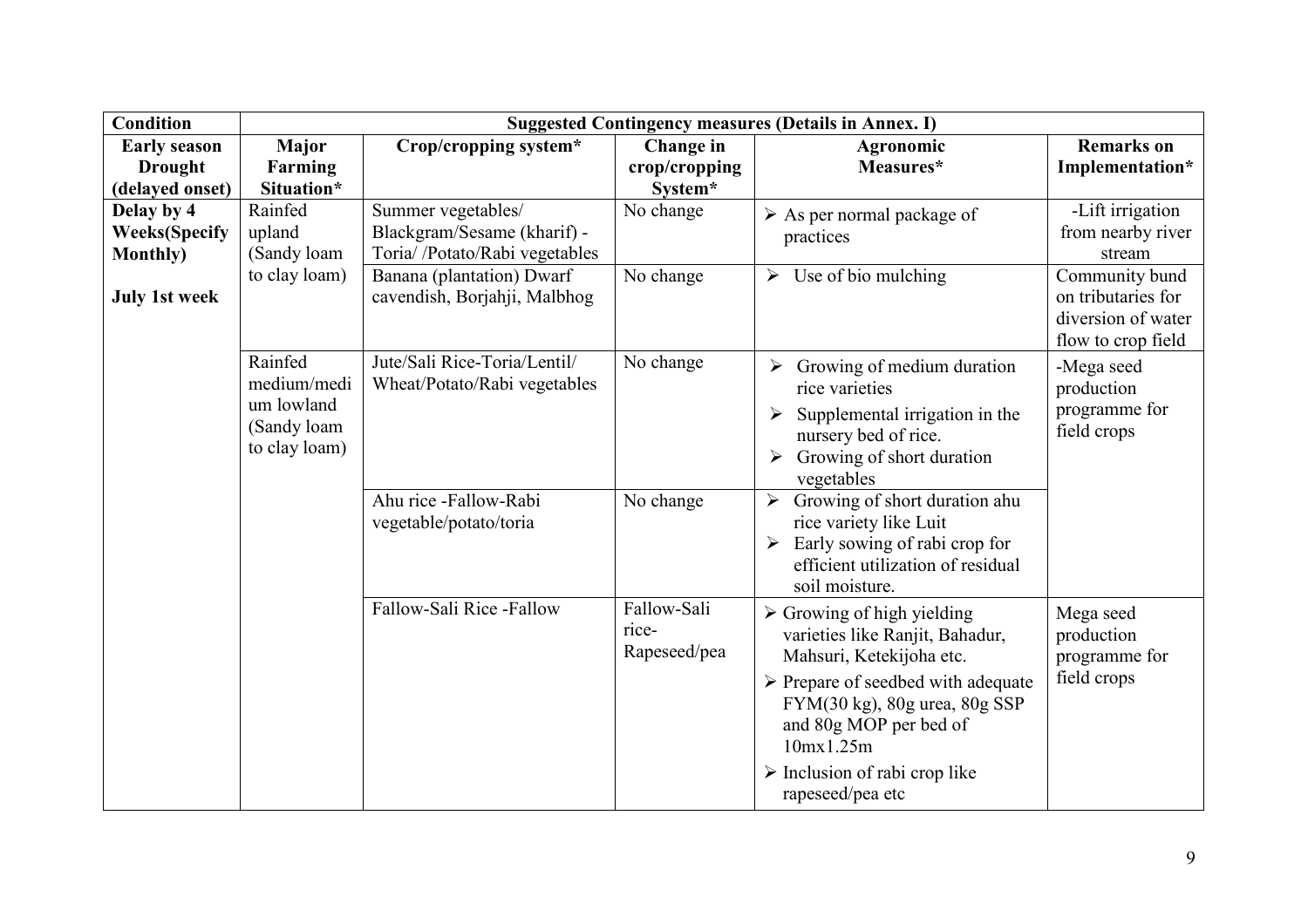| <b>Condition</b>                                        | <b>Suggested Contingency measures (Details in Annex. I)</b>          |                                                                                    |                                      |                                                                                                                                                                                                                                                                                                           |                                                                                  |  |
|---------------------------------------------------------|----------------------------------------------------------------------|------------------------------------------------------------------------------------|--------------------------------------|-----------------------------------------------------------------------------------------------------------------------------------------------------------------------------------------------------------------------------------------------------------------------------------------------------------|----------------------------------------------------------------------------------|--|
| <b>Early season</b>                                     | <b>Major</b>                                                         | Crop/cropping system*                                                              | Change in                            | <b>Agronomic</b>                                                                                                                                                                                                                                                                                          | <b>Remarks</b> on                                                                |  |
| <b>Drought</b>                                          | Farming                                                              |                                                                                    | crop/cropping                        | Measures*                                                                                                                                                                                                                                                                                                 | Implementation*                                                                  |  |
| (delayed onset)                                         | Situation*                                                           |                                                                                    | System*                              |                                                                                                                                                                                                                                                                                                           |                                                                                  |  |
| Delay by 4<br><b>Weeks</b> (Specify<br><b>Monthly</b> ) | Rainfed<br>upland<br>(Sandy loam)                                    | Summer vegetables/<br>Blackgram/Sesame (kharif) -<br>Toria//Potato/Rabi vegetables | No change                            | $\triangleright$ As per normal package of<br>practices                                                                                                                                                                                                                                                    | -Lift irrigation<br>from nearby river<br>stream                                  |  |
| <b>July 1st week</b>                                    | to clay loam)                                                        | Banana (plantation) Dwarf<br>cavendish, Borjahji, Malbhog                          | No change                            | $\triangleright$ Use of bio mulching                                                                                                                                                                                                                                                                      | Community bund<br>on tributaries for<br>diversion of water<br>flow to crop field |  |
|                                                         | Rainfed<br>medium/medi<br>um lowland<br>(Sandy loam<br>to clay loam) | Jute/Sali Rice-Toria/Lentil/<br>Wheat/Potato/Rabi vegetables                       | No change                            | Growing of medium duration<br>$\blacktriangleright$<br>rice varieties<br>Supplemental irrigation in the<br>nursery bed of rice.<br>Growing of short duration<br>vegetables                                                                                                                                | -Mega seed<br>production<br>programme for<br>field crops                         |  |
|                                                         |                                                                      | Ahu rice -Fallow-Rabi<br>vegetable/potato/toria                                    | No change                            | Growing of short duration ahu<br>$\blacktriangleright$<br>rice variety like Luit<br>Early sowing of rabi crop for<br>$\blacktriangleright$<br>efficient utilization of residual<br>soil moisture.                                                                                                         |                                                                                  |  |
|                                                         |                                                                      | Fallow-Sali Rice -Fallow                                                           | Fallow-Sali<br>rice-<br>Rapeseed/pea | $\triangleright$ Growing of high yielding<br>varieties like Ranjit, Bahadur,<br>Mahsuri, Ketekijoha etc.<br>$\triangleright$ Prepare of seedbed with adequate<br>FYM(30 kg), 80g urea, 80g SSP<br>and 80g MOP per bed of<br>10mx1.25m<br>$\triangleright$ Inclusion of rabi crop like<br>rapeseed/pea etc | Mega seed<br>production<br>programme for<br>field crops                          |  |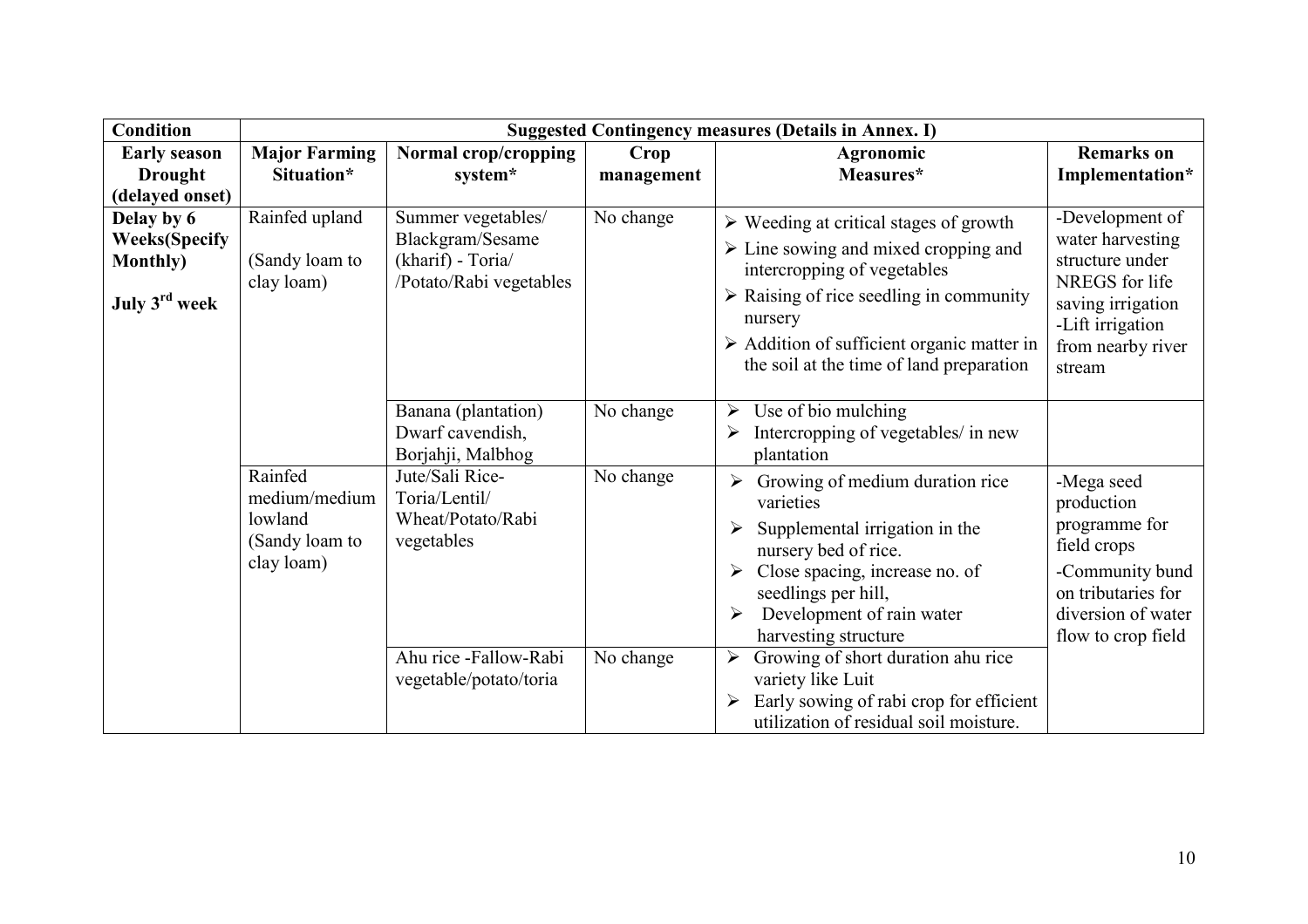| <b>Condition</b>                                                           | <b>Suggested Contingency measures (Details in Annex. I)</b>         |                                                                                        |            |                                                                                                                                                                                                                                                                                                                           |                                                                                                                                                  |  |
|----------------------------------------------------------------------------|---------------------------------------------------------------------|----------------------------------------------------------------------------------------|------------|---------------------------------------------------------------------------------------------------------------------------------------------------------------------------------------------------------------------------------------------------------------------------------------------------------------------------|--------------------------------------------------------------------------------------------------------------------------------------------------|--|
| <b>Early season</b>                                                        | <b>Major Farming</b>                                                | Normal crop/cropping                                                                   | Crop       | Agronomic                                                                                                                                                                                                                                                                                                                 | <b>Remarks</b> on                                                                                                                                |  |
| <b>Drought</b>                                                             | Situation*                                                          | system*                                                                                | management | Measures*                                                                                                                                                                                                                                                                                                                 | Implementation*                                                                                                                                  |  |
| (delayed onset)                                                            |                                                                     |                                                                                        |            |                                                                                                                                                                                                                                                                                                                           |                                                                                                                                                  |  |
| Delay by 6<br><b>Weeks</b> (Specify<br><b>Monthly</b> )<br>July $3rd$ week | Rainfed upland<br>(Sandy loam to<br>clay loam)                      | Summer vegetables/<br>Blackgram/Sesame<br>(kharif) - Toria/<br>/Potato/Rabi vegetables | No change  | $\triangleright$ Weeding at critical stages of growth<br>$\triangleright$ Line sowing and mixed cropping and<br>intercropping of vegetables<br>$\triangleright$ Raising of rice seedling in community<br>nursery<br>$\triangleright$ Addition of sufficient organic matter in<br>the soil at the time of land preparation | -Development of<br>water harvesting<br>structure under<br>NREGS for life<br>saving irrigation<br>-Lift irrigation<br>from nearby river<br>stream |  |
|                                                                            |                                                                     | Banana (plantation)<br>Dwarf cavendish,<br>Borjahji, Malbhog                           | No change  | Use of bio mulching<br>$\blacktriangleright$<br>Intercropping of vegetables/ in new<br>plantation                                                                                                                                                                                                                         |                                                                                                                                                  |  |
|                                                                            | Rainfed<br>medium/medium<br>lowland<br>(Sandy loam to<br>clay loam) | Jute/Sali Rice-<br>Toria/Lentil/<br>Wheat/Potato/Rabi<br>vegetables                    | No change  | Growing of medium duration rice<br>varieties<br>Supplemental irrigation in the<br>nursery bed of rice.<br>Close spacing, increase no. of<br>seedlings per hill,<br>Development of rain water<br>harvesting structure                                                                                                      | -Mega seed<br>production<br>programme for<br>field crops<br>-Community bund<br>on tributaries for<br>diversion of water<br>flow to crop field    |  |
|                                                                            |                                                                     | Ahu rice -Fallow-Rabi<br>vegetable/potato/toria                                        | No change  | Growing of short duration ahu rice<br>$\blacktriangleright$<br>variety like Luit<br>Early sowing of rabi crop for efficient<br>utilization of residual soil moisture.                                                                                                                                                     |                                                                                                                                                  |  |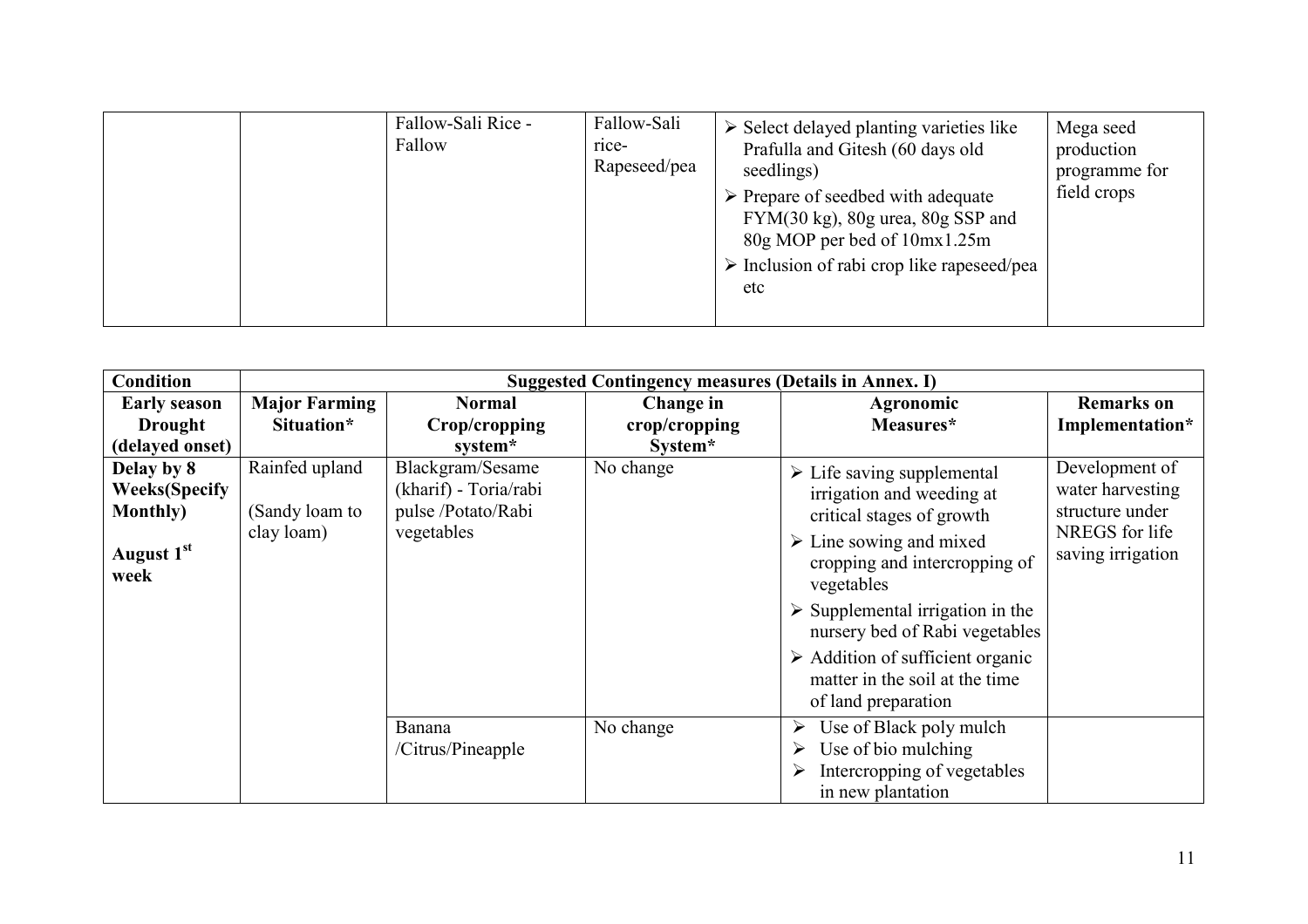|  | Fallow-Sali Rice -<br>Fallow | Fallow-Sali<br>rice-<br>Rapeseed/pea | $\triangleright$ Select delayed planting varieties like<br>Prafulla and Gitesh (60 days old<br>seedlings)<br>$\triangleright$ Prepare of seedbed with adequate<br>$FYM(30 kg)$ , 80g urea, 80g SSP and<br>80g MOP per bed of 10mx1.25m<br>$\triangleright$ Inclusion of rabi crop like rapeseed/pea<br>etc | Mega seed<br>production<br>programme for<br>field crops |
|--|------------------------------|--------------------------------------|------------------------------------------------------------------------------------------------------------------------------------------------------------------------------------------------------------------------------------------------------------------------------------------------------------|---------------------------------------------------------|
|--|------------------------------|--------------------------------------|------------------------------------------------------------------------------------------------------------------------------------------------------------------------------------------------------------------------------------------------------------------------------------------------------------|---------------------------------------------------------|

| <b>Condition</b>                                                                          | <b>Suggested Contingency measures (Details in Annex. I)</b> |                                                                               |               |                                                                                                                                                                                                                                                                                                                                                                                               |                                                                                              |  |
|-------------------------------------------------------------------------------------------|-------------------------------------------------------------|-------------------------------------------------------------------------------|---------------|-----------------------------------------------------------------------------------------------------------------------------------------------------------------------------------------------------------------------------------------------------------------------------------------------------------------------------------------------------------------------------------------------|----------------------------------------------------------------------------------------------|--|
| <b>Early season</b>                                                                       | <b>Major Farming</b>                                        | <b>Normal</b>                                                                 | Change in     | Agronomic                                                                                                                                                                                                                                                                                                                                                                                     | <b>Remarks</b> on                                                                            |  |
| <b>Drought</b>                                                                            | Situation*                                                  | Crop/cropping                                                                 | crop/cropping | Measures*                                                                                                                                                                                                                                                                                                                                                                                     | Implementation*                                                                              |  |
| (delayed onset)                                                                           |                                                             | system*                                                                       | System*       |                                                                                                                                                                                                                                                                                                                                                                                               |                                                                                              |  |
| Delay by 8<br><b>Weeks</b> (Specify<br><b>Monthly</b> )<br>August 1 <sup>st</sup><br>week | Rainfed upland<br>(Sandy loam to<br>clay loam)              | Blackgram/Sesame<br>(kharif) - Toria/rabi<br>pulse /Potato/Rabi<br>vegetables | No change     | $\triangleright$ Life saving supplemental<br>irrigation and weeding at<br>critical stages of growth<br>$\triangleright$ Line sowing and mixed<br>cropping and intercropping of<br>vegetables<br>$\triangleright$ Supplemental irrigation in the<br>nursery bed of Rabi vegetables<br>$\triangleright$ Addition of sufficient organic<br>matter in the soil at the time<br>of land preparation | Development of<br>water harvesting<br>structure under<br>NREGS for life<br>saving irrigation |  |
|                                                                                           |                                                             | Banana<br>/Citrus/Pineapple                                                   | No change     | Use of Black poly mulch<br>Use of bio mulching<br>Intercropping of vegetables<br>in new plantation                                                                                                                                                                                                                                                                                            |                                                                                              |  |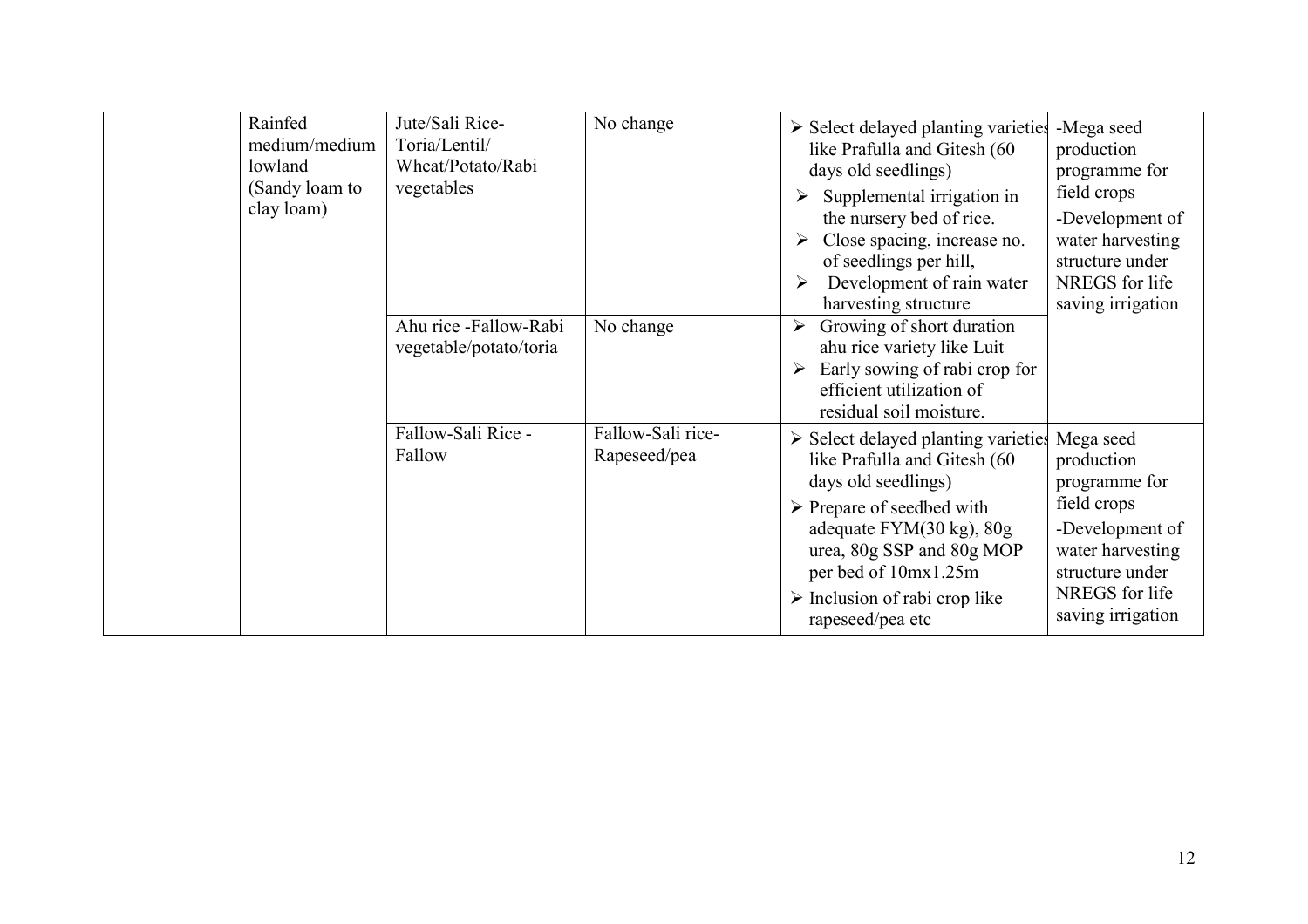| Rainfed<br>medium/medium<br>lowland<br>(Sandy loam to<br>clay loam) | Jute/Sali Rice-<br>Toria/Lentil/<br>Wheat/Potato/Rabi<br>vegetables | No change                         | $\triangleright$ Select delayed planting varieties<br>like Prafulla and Gitesh (60<br>days old seedlings)<br>Supplemental irrigation in<br>➤<br>the nursery bed of rice.<br>Close spacing, increase no.<br>➤<br>of seedlings per hill,<br>Development of rain water<br>➤<br>harvesting structure                | -Mega seed<br>production<br>programme for<br>field crops<br>-Development of<br>water harvesting<br>structure under<br>NREGS for life<br>saving irrigation |
|---------------------------------------------------------------------|---------------------------------------------------------------------|-----------------------------------|-----------------------------------------------------------------------------------------------------------------------------------------------------------------------------------------------------------------------------------------------------------------------------------------------------------------|-----------------------------------------------------------------------------------------------------------------------------------------------------------|
|                                                                     | Ahu rice -Fallow-Rabi<br>vegetable/potato/toria                     | No change                         | Growing of short duration<br>$\blacktriangleright$<br>ahu rice variety like Luit<br>Early sowing of rabi crop for<br>efficient utilization of<br>residual soil moisture.                                                                                                                                        |                                                                                                                                                           |
|                                                                     | Fallow-Sali Rice -<br>Fallow                                        | Fallow-Sali rice-<br>Rapeseed/pea | $\triangleright$ Select delayed planting varieties<br>like Prafulla and Gitesh (60<br>days old seedlings)<br>$\triangleright$ Prepare of seedbed with<br>adequate $FYM(30 kg)$ , $80g$<br>urea, 80g SSP and 80g MOP<br>per bed of 10mx1.25m<br>$\triangleright$ Inclusion of rabi crop like<br>rapeseed/pea etc | Mega seed<br>production<br>programme for<br>field crops<br>-Development of<br>water harvesting<br>structure under<br>NREGS for life<br>saving irrigation  |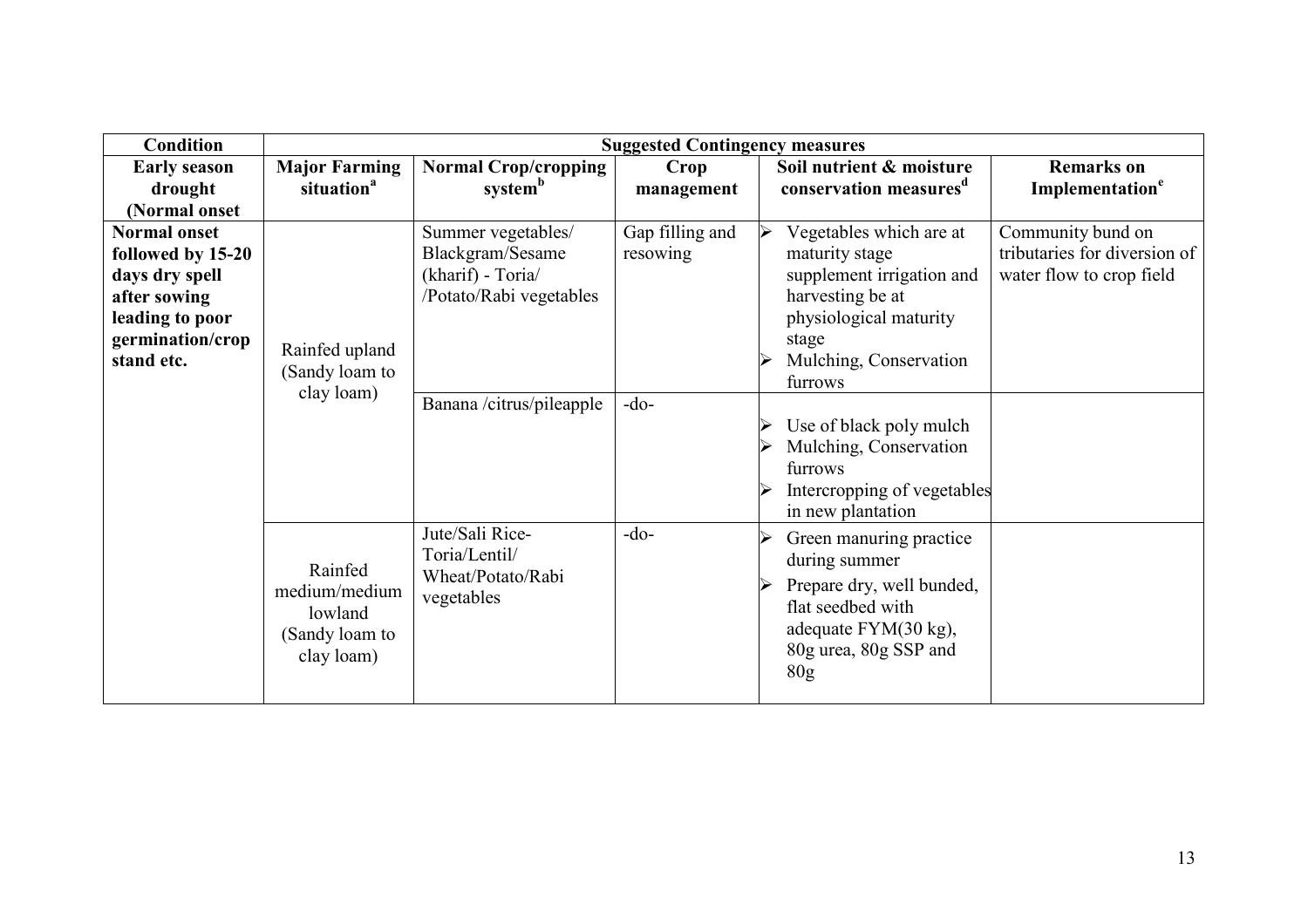| <b>Condition</b>                                                                                                                | <b>Suggested Contingency measures</b>                               |                                                                                                                    |                                       |                                                                                                                                                                                                                                    |                                                                               |
|---------------------------------------------------------------------------------------------------------------------------------|---------------------------------------------------------------------|--------------------------------------------------------------------------------------------------------------------|---------------------------------------|------------------------------------------------------------------------------------------------------------------------------------------------------------------------------------------------------------------------------------|-------------------------------------------------------------------------------|
| <b>Early season</b><br>drought<br>(Normal onset                                                                                 | <b>Major Farming</b><br>situation <sup>a</sup>                      | <b>Normal Crop/cropping</b><br>system <sup>b</sup>                                                                 | Crop<br>management                    | Soil nutrient & moisture<br>conservation measures <sup>d</sup>                                                                                                                                                                     | <b>Remarks</b> on<br>Implementation <sup>e</sup>                              |
| <b>Normal onset</b><br>followed by 15-20<br>days dry spell<br>after sowing<br>leading to poor<br>germination/crop<br>stand etc. | Rainfed upland<br>(Sandy loam to<br>clay loam)                      | Summer vegetables/<br>Blackgram/Sesame<br>(kharif) - Toria/<br>/Potato/Rabi vegetables<br>Banana /citrus/pileapple | Gap filling and<br>resowing<br>$-do-$ | Vegetables which are at<br>maturity stage<br>supplement irrigation and<br>harvesting be at<br>physiological maturity<br>stage<br>Mulching, Conservation<br>furrows<br>Use of black poly mulch<br>Mulching, Conservation<br>furrows | Community bund on<br>tributaries for diversion of<br>water flow to crop field |
|                                                                                                                                 |                                                                     |                                                                                                                    |                                       | Intercropping of vegetables<br>in new plantation                                                                                                                                                                                   |                                                                               |
|                                                                                                                                 | Rainfed<br>medium/medium<br>lowland<br>(Sandy loam to<br>clay loam) | Jute/Sali Rice-<br>Toria/Lentil/<br>Wheat/Potato/Rabi<br>vegetables                                                | $-do-$                                | Green manuring practice<br>during summer<br>Prepare dry, well bunded,<br>flat seedbed with<br>adequate FYM(30 kg),<br>80g urea, 80g SSP and<br>80 <sub>g</sub>                                                                     |                                                                               |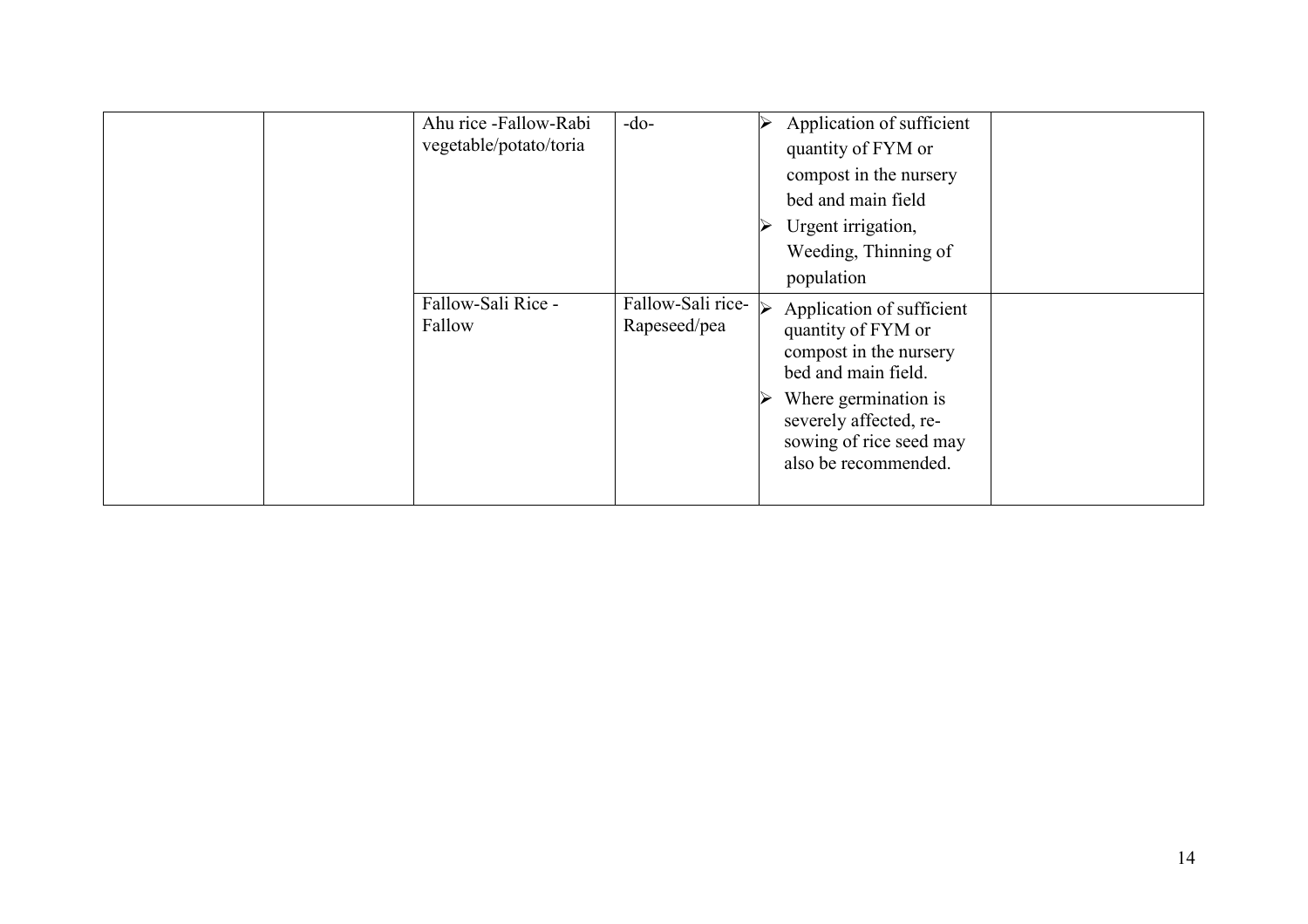|  | Ahu rice -Fallow-Rabi<br>vegetable/potato/toria | $-do-$                            | Application of sufficient<br>quantity of FYM or<br>compost in the nursery<br>bed and main field<br>Urgent irrigation,<br>Weeding, Thinning of<br>population                                           |  |
|--|-------------------------------------------------|-----------------------------------|-------------------------------------------------------------------------------------------------------------------------------------------------------------------------------------------------------|--|
|  | Fallow-Sali Rice -<br>Fallow                    | Fallow-Sali rice-<br>Rapeseed/pea | Application of sufficient<br>quantity of FYM or<br>compost in the nursery<br>bed and main field.<br>Where germination is<br>severely affected, re-<br>sowing of rice seed may<br>also be recommended. |  |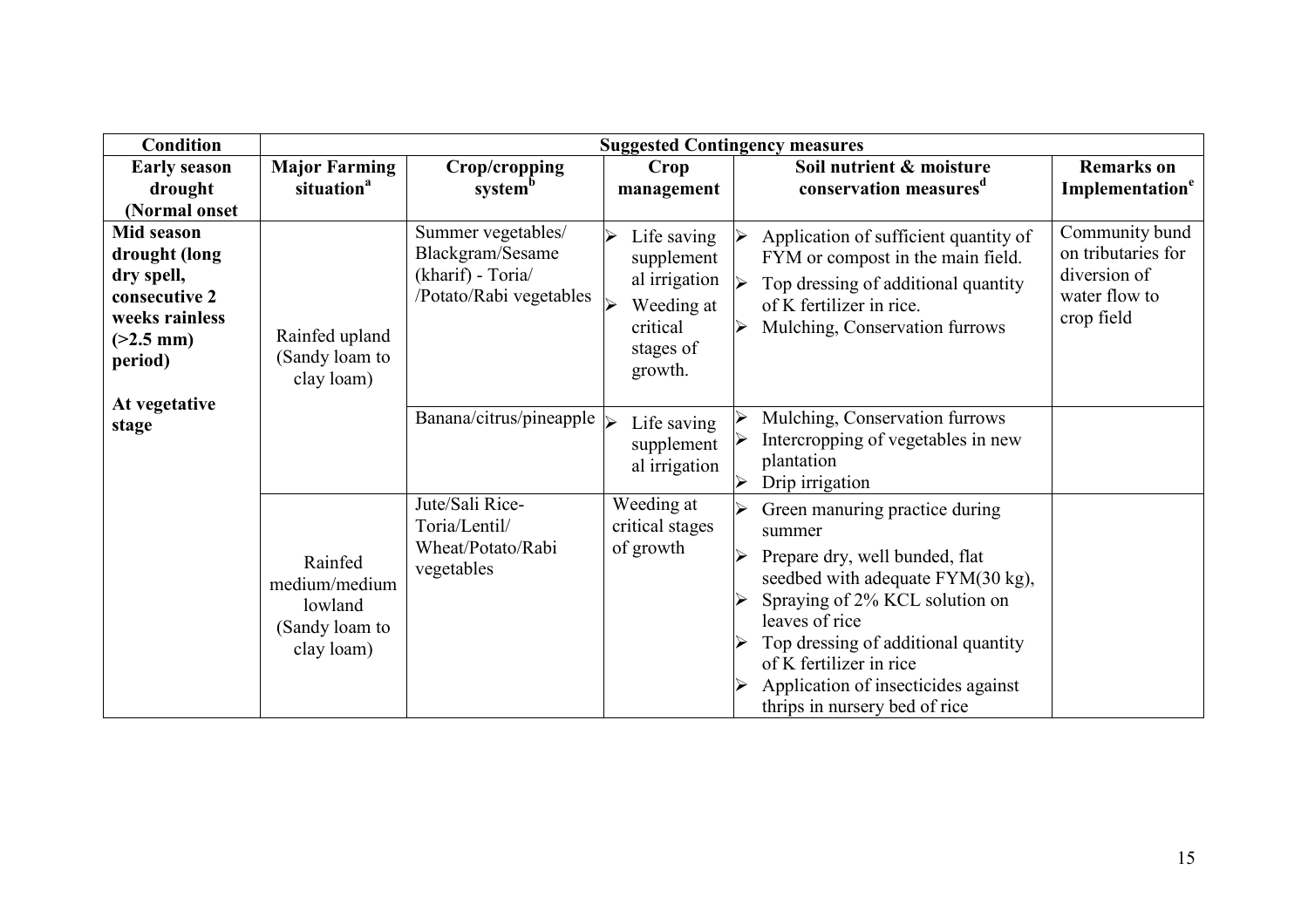| <b>Condition</b>                                                                                              |                                                                     |                                                                                        |                                                                                                                       | <b>Suggested Contingency measures</b>                                                                                                                                                                                                                                                                         |                                                                                     |
|---------------------------------------------------------------------------------------------------------------|---------------------------------------------------------------------|----------------------------------------------------------------------------------------|-----------------------------------------------------------------------------------------------------------------------|---------------------------------------------------------------------------------------------------------------------------------------------------------------------------------------------------------------------------------------------------------------------------------------------------------------|-------------------------------------------------------------------------------------|
| <b>Early season</b><br>drought<br>(Normal onset                                                               | <b>Major Farming</b><br>situation <sup>a</sup>                      | Crop/cropping<br>system <sup>b</sup>                                                   | Crop<br>management                                                                                                    | Soil nutrient & moisture<br>conservation measures <sup>d</sup>                                                                                                                                                                                                                                                | <b>Remarks</b> on<br>Implementation <sup>e</sup>                                    |
| <b>Mid season</b><br>drought (long<br>dry spell,<br>consecutive 2<br>weeks rainless<br>$(>2.5$ mm)<br>period) | Rainfed upland<br>(Sandy loam to<br>clay loam)                      | Summer vegetables/<br>Blackgram/Sesame<br>(kharif) - Toria/<br>/Potato/Rabi vegetables | Life saving<br>$\blacktriangleright$<br>supplement<br>al irrigation<br>Weeding at<br>critical<br>stages of<br>growth. | Application of sufficient quantity of<br>FYM or compost in the main field.<br>Top dressing of additional quantity<br>of K fertilizer in rice.<br>Mulching, Conservation furrows                                                                                                                               | Community bund<br>on tributaries for<br>diversion of<br>water flow to<br>crop field |
| At vegetative<br>stage                                                                                        |                                                                     | Banana/citrus/pineapple $\triangleright$                                               | Life saving<br>supplement<br>al irrigation                                                                            | Mulching, Conservation furrows<br>Intercropping of vegetables in new<br>plantation<br>Drip irrigation                                                                                                                                                                                                         |                                                                                     |
|                                                                                                               | Rainfed<br>medium/medium<br>lowland<br>(Sandy loam to<br>clay loam) | Jute/Sali Rice-<br>Toria/Lentil/<br>Wheat/Potato/Rabi<br>vegetables                    | Weeding at<br>critical stages<br>of growth                                                                            | Green manuring practice during<br>summer<br>Prepare dry, well bunded, flat<br>seedbed with adequate FYM(30 kg),<br>Spraying of 2% KCL solution on<br>leaves of rice<br>Top dressing of additional quantity<br>of K fertilizer in rice<br>Application of insecticides against<br>thrips in nursery bed of rice |                                                                                     |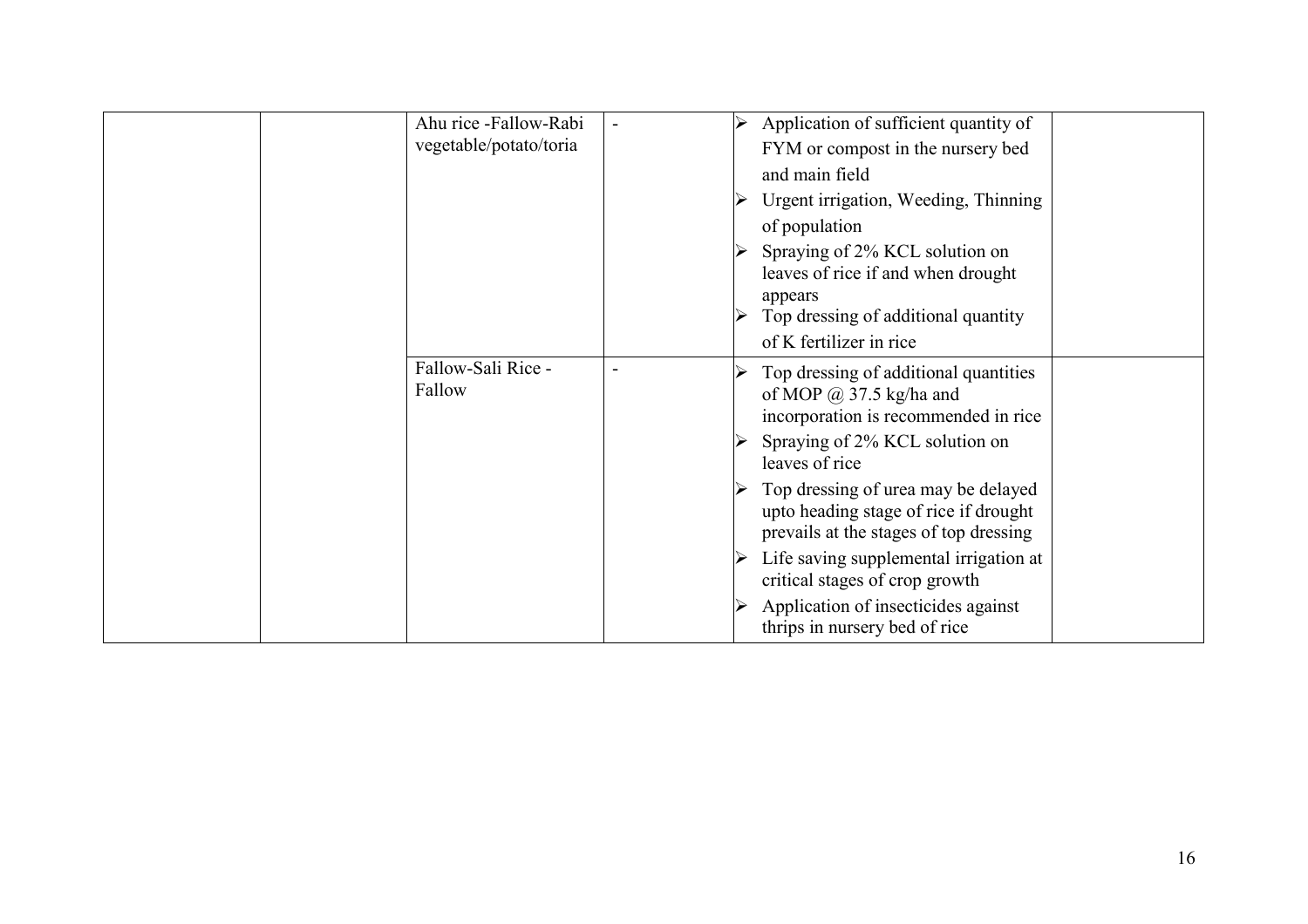| Ahu rice -Fallow-Rabi<br>vegetable/potato/toria | Application of sufficient quantity of<br>FYM or compost in the nursery bed<br>and main field<br>Urgent irrigation, Weeding, Thinning<br>of population<br>Spraying of 2% KCL solution on<br>leaves of rice if and when drought<br>appears<br>Top dressing of additional quantity                                                                                                                                                                   |  |
|-------------------------------------------------|---------------------------------------------------------------------------------------------------------------------------------------------------------------------------------------------------------------------------------------------------------------------------------------------------------------------------------------------------------------------------------------------------------------------------------------------------|--|
|                                                 | of K fertilizer in rice                                                                                                                                                                                                                                                                                                                                                                                                                           |  |
| Fallow-Sali Rice -<br>Fallow                    | Top dressing of additional quantities<br>of MOP $\omega$ 37.5 kg/ha and<br>incorporation is recommended in rice<br>Spraying of 2% KCL solution on<br>leaves of rice<br>Top dressing of urea may be delayed<br>upto heading stage of rice if drought<br>prevails at the stages of top dressing<br>Life saving supplemental irrigation at<br>critical stages of crop growth<br>Application of insecticides against<br>thrips in nursery bed of rice |  |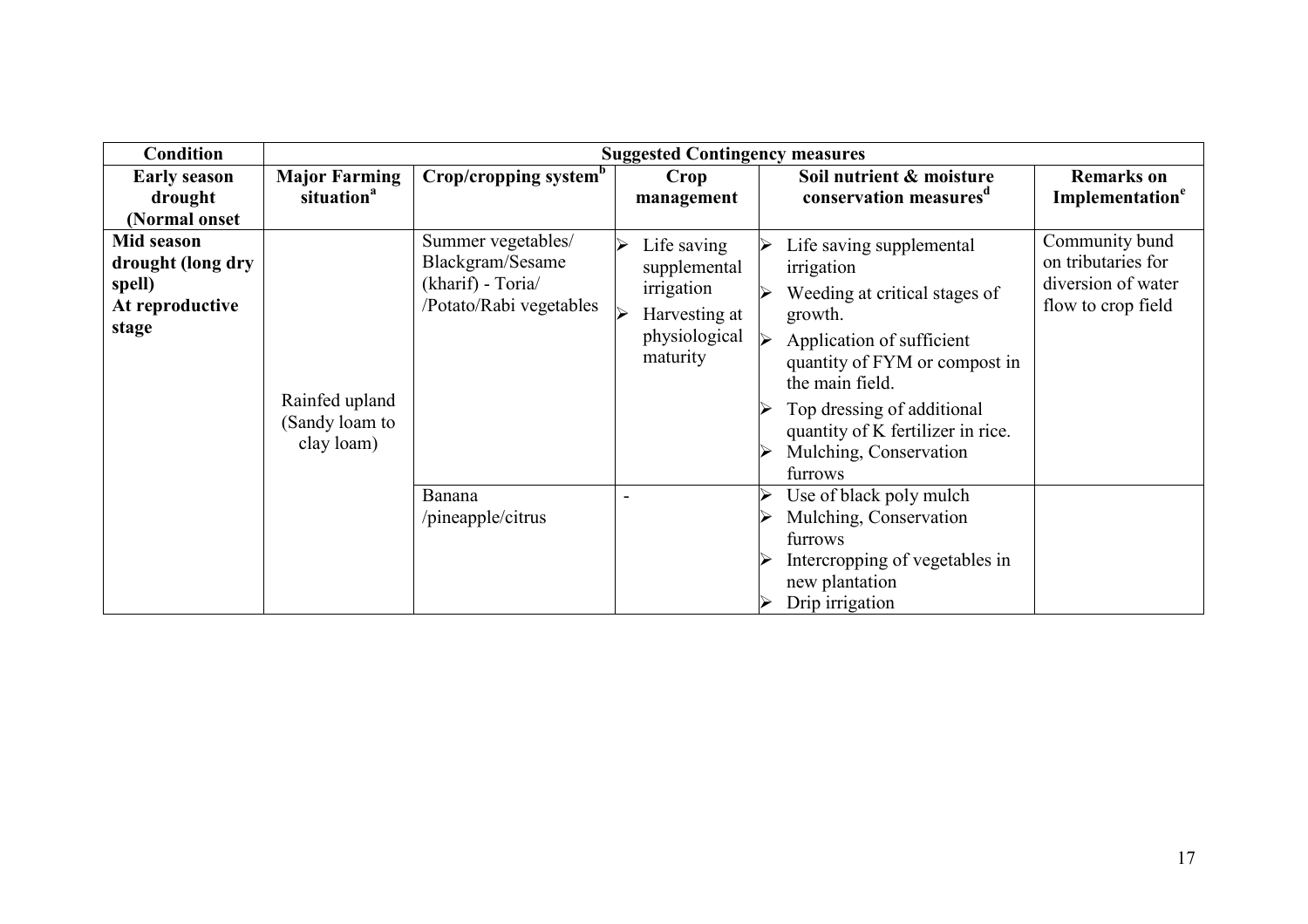| <b>Condition</b>                                                      |                                                |                                                                                                  | <b>Suggested Contingency measures</b>                                                        |                                                                                                                                                                                                                                                                                                                                 |                                                                                  |
|-----------------------------------------------------------------------|------------------------------------------------|--------------------------------------------------------------------------------------------------|----------------------------------------------------------------------------------------------|---------------------------------------------------------------------------------------------------------------------------------------------------------------------------------------------------------------------------------------------------------------------------------------------------------------------------------|----------------------------------------------------------------------------------|
| <b>Early season</b><br>drought<br>(Normal onset                       | <b>Major Farming</b><br>situation <sup>a</sup> | Crop/cropping system <sup>b</sup>                                                                | Crop<br>management                                                                           | Soil nutrient & moisture<br>conservation measures <sup>d</sup>                                                                                                                                                                                                                                                                  | <b>Remarks</b> on<br><b>Implementation<sup>e</sup></b>                           |
| Mid season<br>drought (long dry<br>spell)<br>At reproductive<br>stage | Rainfed upland<br>(Sandy loam to<br>clay loam) | Summer vegetables/<br>Blackgram/Sesame<br>(kharif) - Toria/<br>/Potato/Rabi vegetables<br>Banana | Life saving<br>↘<br>supplemental<br>irrigation<br>Harvesting at<br>physiological<br>maturity | Life saving supplemental<br>irrigation<br>Weeding at critical stages of<br>growth.<br>$\blacktriangleright$<br>Application of sufficient<br>quantity of FYM or compost in<br>the main field.<br>Top dressing of additional<br>quantity of K fertilizer in rice.<br>Mulching, Conservation<br>furrows<br>Use of black poly mulch | Community bund<br>on tributaries for<br>diversion of water<br>flow to crop field |
|                                                                       |                                                | /pineapple/citrus                                                                                |                                                                                              | Mulching, Conservation<br>furrows<br>Intercropping of vegetables in<br>new plantation<br>Drip irrigation                                                                                                                                                                                                                        |                                                                                  |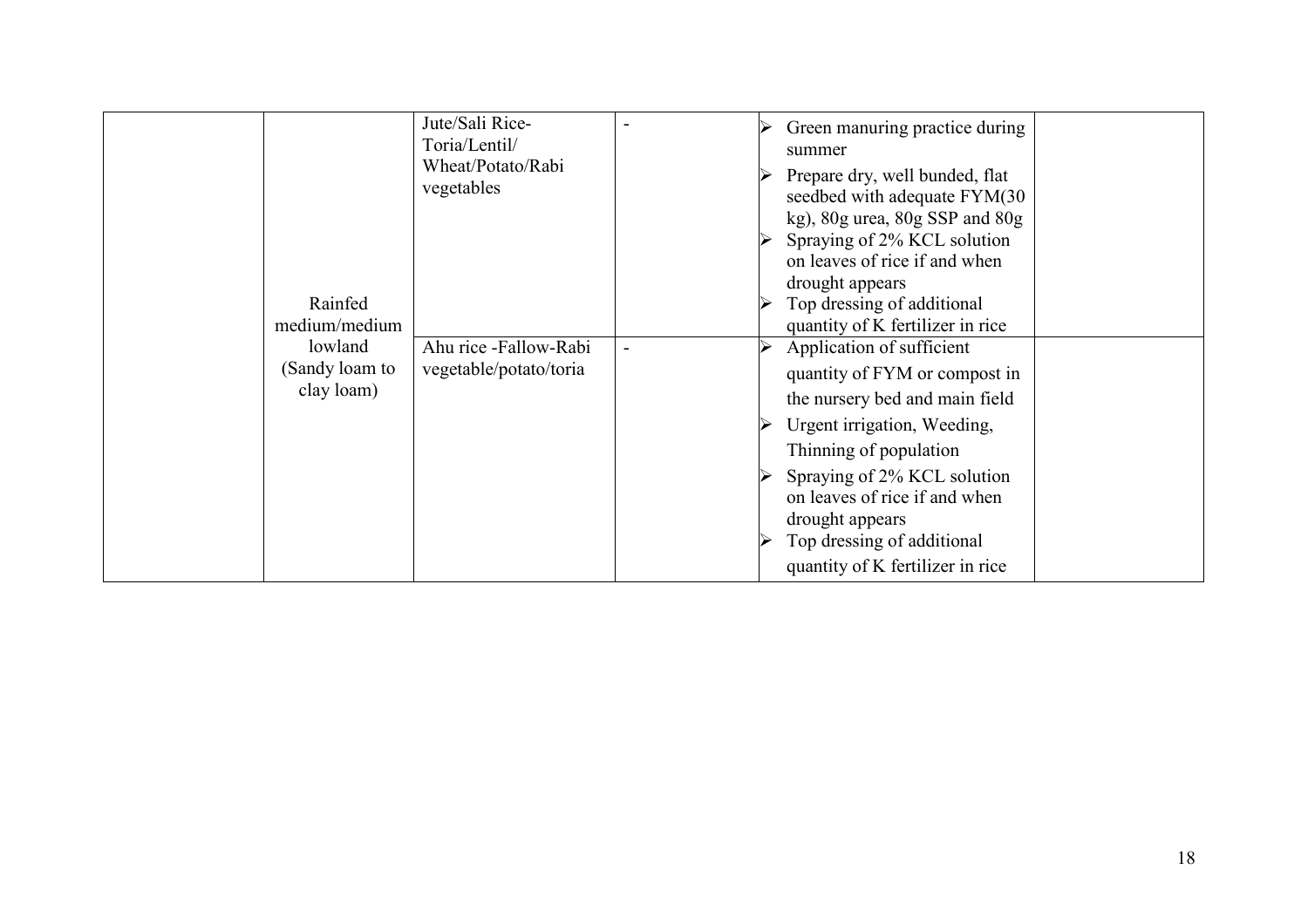| Rainfed<br>medium/medium                | Jute/Sali Rice-<br>Toria/Lentil/<br>Wheat/Potato/Rabi<br>vegetables | Green manuring practice during<br>summer<br>Prepare dry, well bunded, flat<br>seedbed with adequate FYM(30<br>$kg$ ), $80g$ urea, $80g$ SSP and $80g$<br>Spraying of 2% KCL solution<br>on leaves of rice if and when<br>drought appears<br>Top dressing of additional<br>quantity of K fertilizer in rice |
|-----------------------------------------|---------------------------------------------------------------------|------------------------------------------------------------------------------------------------------------------------------------------------------------------------------------------------------------------------------------------------------------------------------------------------------------|
| lowland<br>(Sandy loam to<br>clay loam) | Ahu rice -Fallow-Rabi<br>vegetable/potato/toria                     | Application of sufficient<br>quantity of FYM or compost in<br>the nursery bed and main field<br>Urgent irrigation, Weeding,<br>Thinning of population<br>Spraying of 2% KCL solution<br>on leaves of rice if and when<br>drought appears<br>Top dressing of additional<br>quantity of K fertilizer in rice |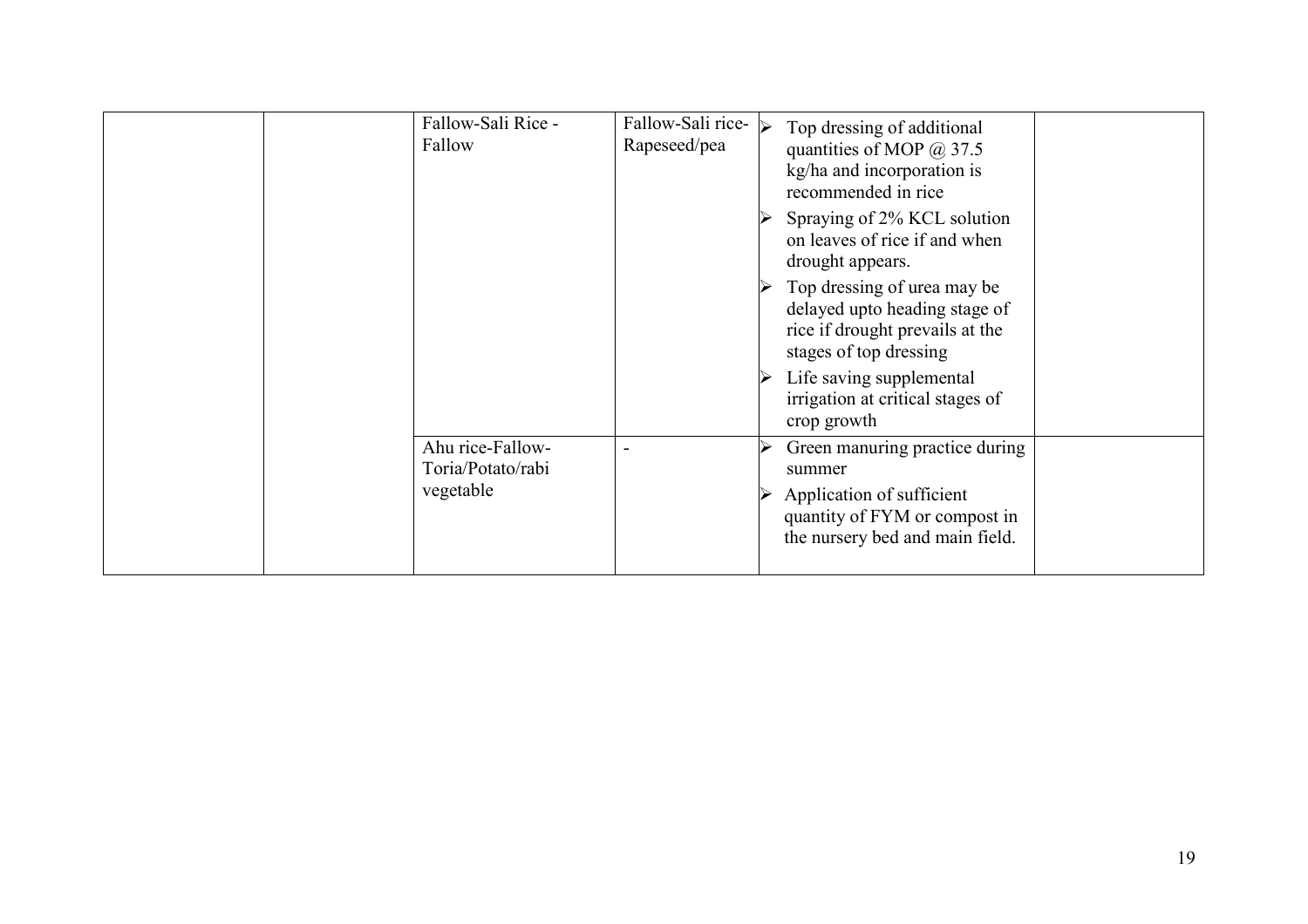| Fallow-Sali Rice -<br>Fallow                       | Fallow-Sali rice- $\vert\mathbf{\rangle}$<br>Rapeseed/pea | Top dressing of additional<br>quantities of MOP $@37.5$<br>kg/ha and incorporation is<br>recommended in rice<br>Spraying of 2% KCL solution<br>on leaves of rice if and when<br>drought appears.<br>Top dressing of urea may be<br>delayed upto heading stage of<br>rice if drought prevails at the<br>stages of top dressing<br>Life saving supplemental<br>irrigation at critical stages of<br>crop growth |  |
|----------------------------------------------------|-----------------------------------------------------------|--------------------------------------------------------------------------------------------------------------------------------------------------------------------------------------------------------------------------------------------------------------------------------------------------------------------------------------------------------------------------------------------------------------|--|
| Ahu rice-Fallow-<br>Toria/Potato/rabi<br>vegetable |                                                           | Green manuring practice during<br>summer<br>Application of sufficient<br>quantity of FYM or compost in<br>the nursery bed and main field.                                                                                                                                                                                                                                                                    |  |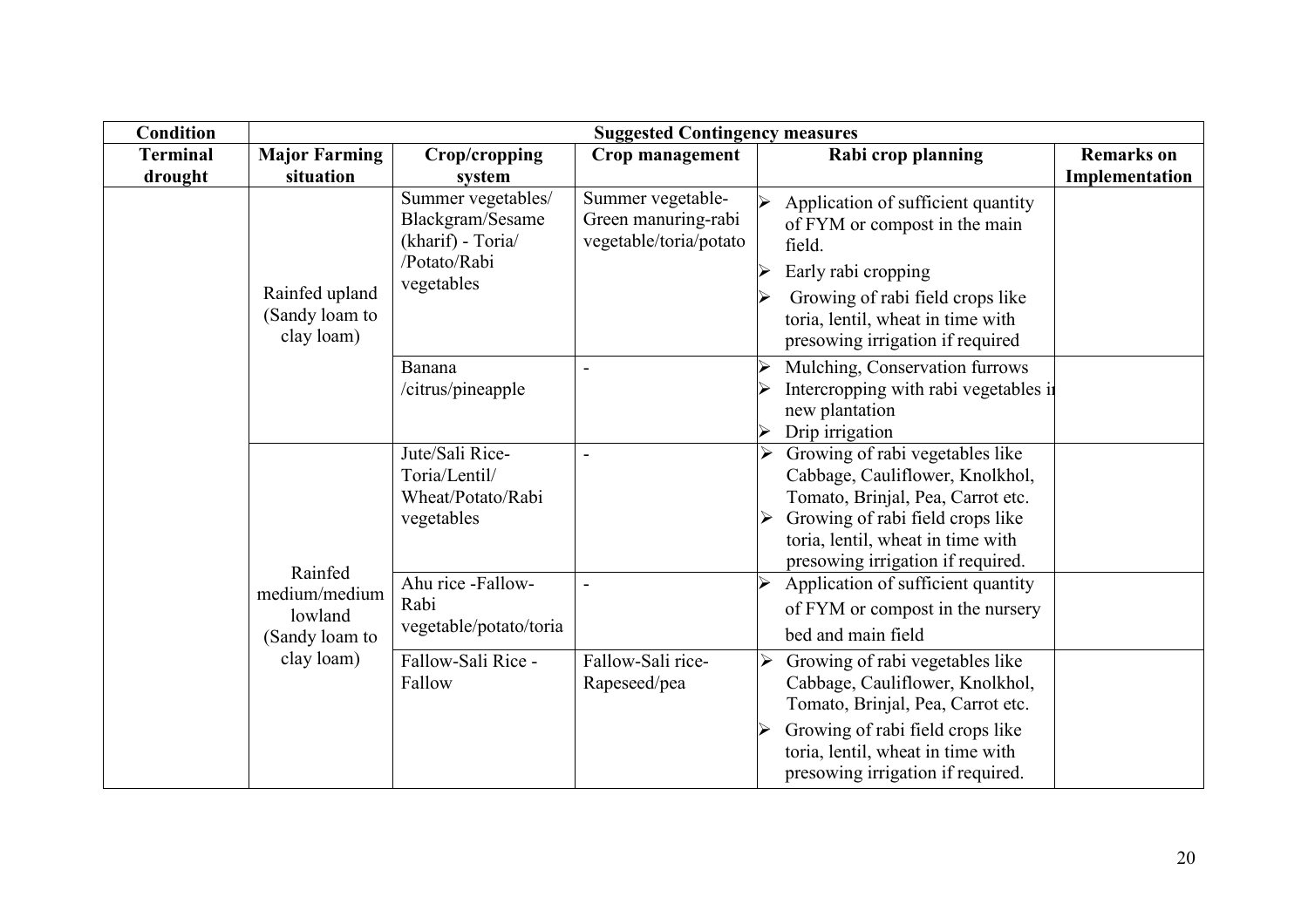| <b>Condition</b> | <b>Suggested Contingency measures</b>                 |                                                                                           |                                                                    |                                                                                                                                                                                                                            |                   |  |
|------------------|-------------------------------------------------------|-------------------------------------------------------------------------------------------|--------------------------------------------------------------------|----------------------------------------------------------------------------------------------------------------------------------------------------------------------------------------------------------------------------|-------------------|--|
| <b>Terminal</b>  | <b>Major Farming</b>                                  | Crop/cropping                                                                             | Crop management                                                    | Rabi crop planning                                                                                                                                                                                                         | <b>Remarks</b> on |  |
| drought          | situation                                             | system                                                                                    |                                                                    |                                                                                                                                                                                                                            | Implementation    |  |
|                  | Rainfed upland<br>(Sandy loam to<br>clay loam)        | Summer vegetables/<br>Blackgram/Sesame<br>(kharif) - Toria/<br>/Potato/Rabi<br>vegetables | Summer vegetable-<br>Green manuring-rabi<br>vegetable/toria/potato | Application of sufficient quantity<br>of FYM or compost in the main<br>field.<br>Early rabi cropping<br>Growing of rabi field crops like<br>toria, lentil, wheat in time with<br>presowing irrigation if required          |                   |  |
|                  |                                                       | Banana<br>/citrus/pineapple                                                               |                                                                    | Mulching, Conservation furrows<br>Intercropping with rabi vegetables in<br>new plantation<br>Drip irrigation                                                                                                               |                   |  |
|                  |                                                       | Jute/Sali Rice-<br>Toria/Lentil/<br>Wheat/Potato/Rabi<br>vegetables                       |                                                                    | Growing of rabi vegetables like<br>➤<br>Cabbage, Cauliflower, Knolkhol,<br>Tomato, Brinjal, Pea, Carrot etc.<br>Growing of rabi field crops like<br>toria, lentil, wheat in time with<br>presowing irrigation if required. |                   |  |
|                  | Rainfed<br>medium/medium<br>lowland<br>(Sandy loam to | Ahu rice -Fallow-<br>Rabi<br>vegetable/potato/toria                                       |                                                                    | Application of sufficient quantity<br>of FYM or compost in the nursery<br>bed and main field                                                                                                                               |                   |  |
|                  | clay loam)                                            | Fallow-Sali Rice -<br>Fallow                                                              | Fallow-Sali rice-<br>Rapeseed/pea                                  | Growing of rabi vegetables like<br>➤<br>Cabbage, Cauliflower, Knolkhol,<br>Tomato, Brinjal, Pea, Carrot etc.<br>Growing of rabi field crops like<br>toria, lentil, wheat in time with<br>presowing irrigation if required. |                   |  |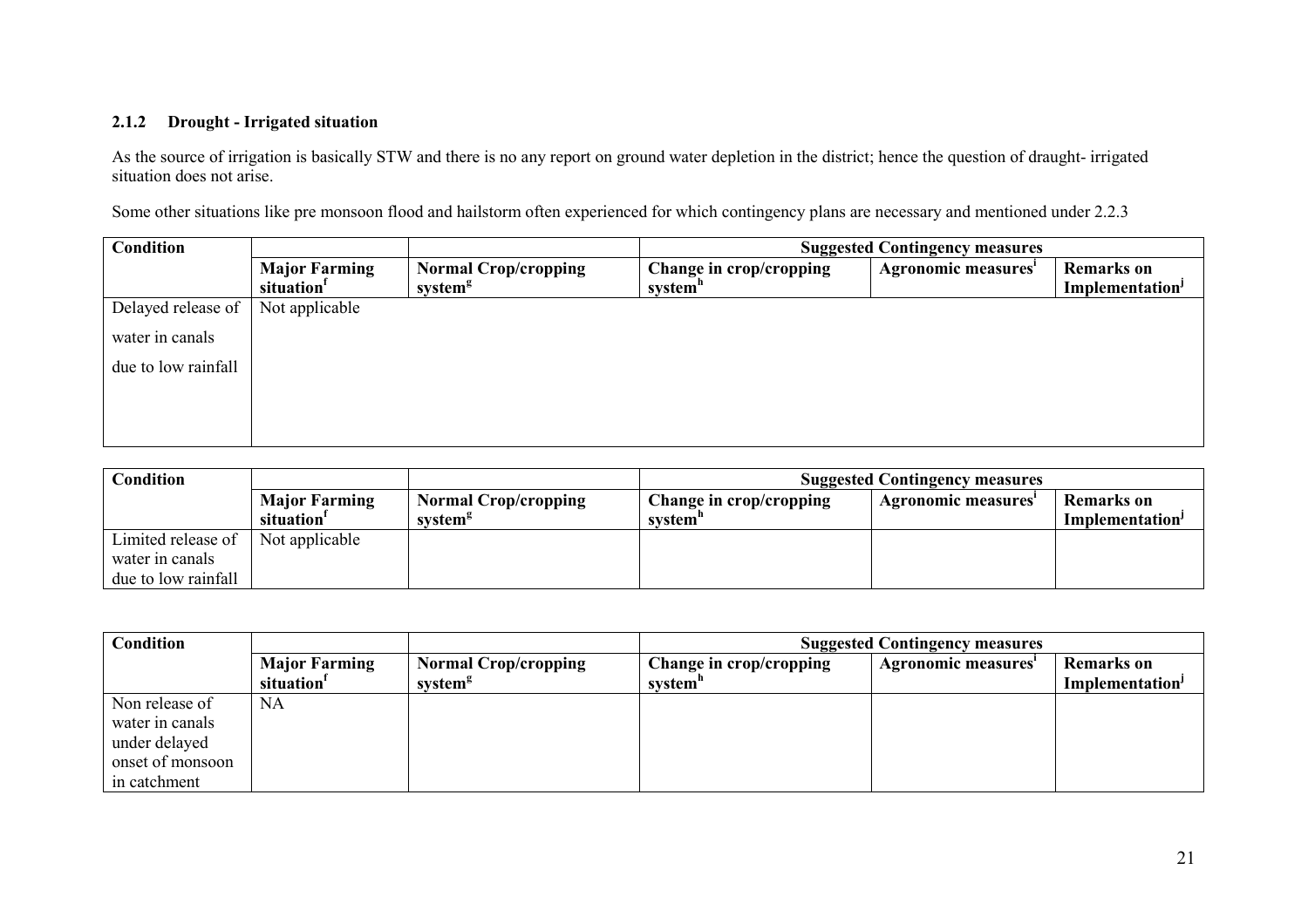#### 2.1.2 Drought - Irrigated situation

As the source of irrigation is basically STW and there is no any report on ground water depletion in the district; hence the question of draught- irrigated situation does not arise.

Some other situations like pre monsoon flood and hailstorm often experienced for which contingency plans are necessary and mentioned under 2.2.3

| <b>Condition</b>    |                        |                             |                         | <b>Suggested Contingency measures</b> |                             |
|---------------------|------------------------|-----------------------------|-------------------------|---------------------------------------|-----------------------------|
|                     | <b>Major Farming</b>   | <b>Normal Crop/cropping</b> | Change in crop/cropping | Agronomic measures'                   | <b>Remarks</b> on           |
|                     | situation <sup>1</sup> | system <sup>g</sup>         | system <sup>n</sup>     |                                       | Implementation <sup>J</sup> |
| Delayed release of  | Not applicable         |                             |                         |                                       |                             |
| water in canals     |                        |                             |                         |                                       |                             |
| due to low rainfall |                        |                             |                         |                                       |                             |
|                     |                        |                             |                         |                                       |                             |
|                     |                        |                             |                         |                                       |                             |
|                     |                        |                             |                         |                                       |                             |

| Condition           |                        |                             | <b>Suggested Contingency measures</b> |                    |                             |  |  |  |
|---------------------|------------------------|-----------------------------|---------------------------------------|--------------------|-----------------------------|--|--|--|
|                     | <b>Major Farming</b>   | <b>Normal Crop/cropping</b> | Change in crop/cropping               | Agronomic measures | Remarks on                  |  |  |  |
|                     | situation <sup>1</sup> | system <sup>g</sup>         | system"                               |                    | Implementation <sup>1</sup> |  |  |  |
| Limited release of  | Not applicable         |                             |                                       |                    |                             |  |  |  |
| water in canals     |                        |                             |                                       |                    |                             |  |  |  |
| due to low rainfall |                        |                             |                                       |                    |                             |  |  |  |

| <b>Condition</b> |                                                |                                                    | <b>Suggested Contingency measures</b> |                     |                                                  |  |  |  |
|------------------|------------------------------------------------|----------------------------------------------------|---------------------------------------|---------------------|--------------------------------------------------|--|--|--|
|                  | <b>Major Farming</b><br>situation <sup>1</sup> | <b>Normal Crop/cropping</b><br>system <sup>g</sup> | Change in crop/cropping<br>system"    | Agronomic measures' | <b>Remarks</b> on<br>Implementation <sup>J</sup> |  |  |  |
| Non release of   | NA                                             |                                                    |                                       |                     |                                                  |  |  |  |
| water in canals  |                                                |                                                    |                                       |                     |                                                  |  |  |  |
| under delayed    |                                                |                                                    |                                       |                     |                                                  |  |  |  |
| onset of monsoon |                                                |                                                    |                                       |                     |                                                  |  |  |  |
| in catchment     |                                                |                                                    |                                       |                     |                                                  |  |  |  |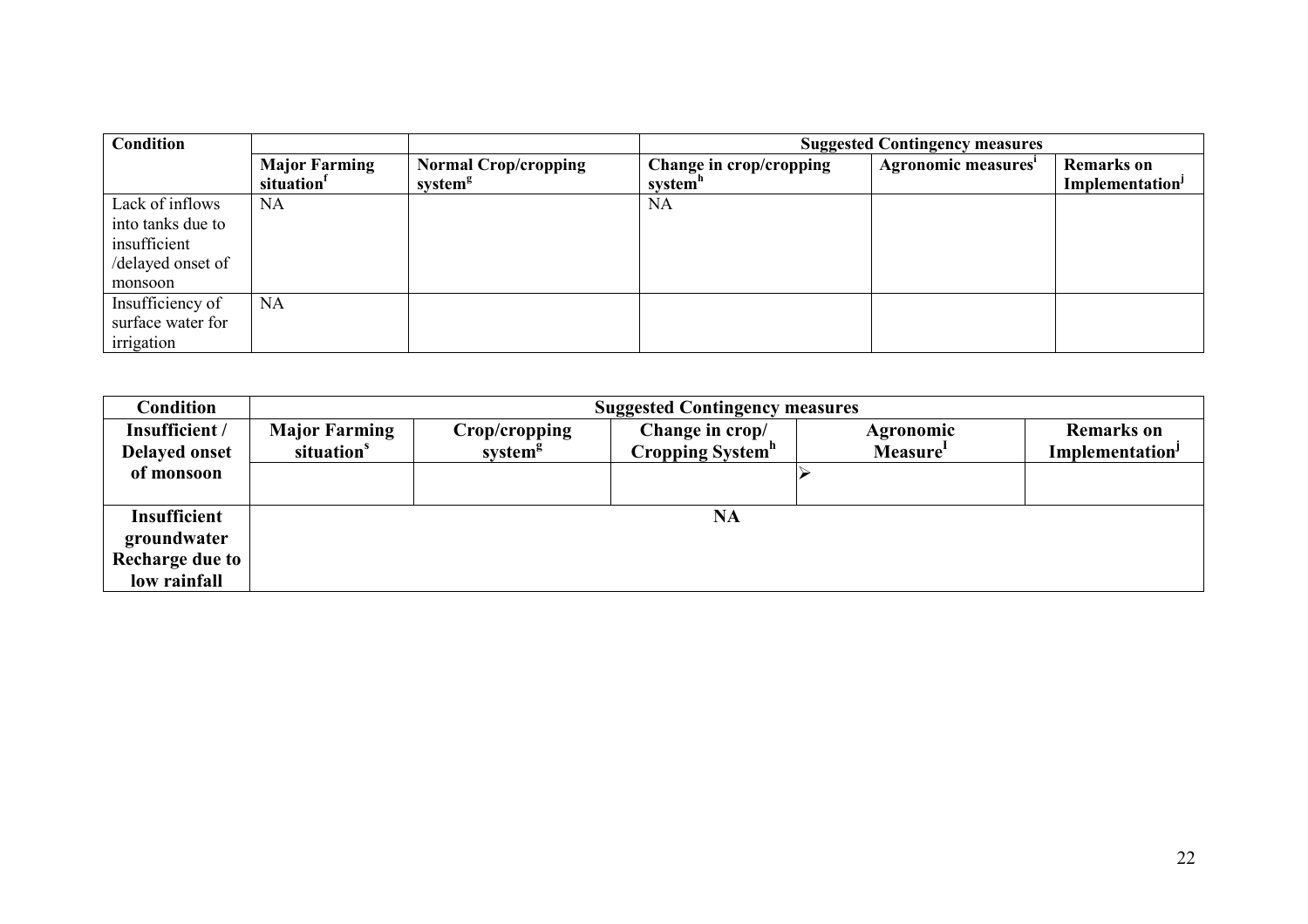| <b>Condition</b>  |                                                |                                                    | <b>Suggested Contingency measures</b>          |                     |                                                         |  |  |  |
|-------------------|------------------------------------------------|----------------------------------------------------|------------------------------------------------|---------------------|---------------------------------------------------------|--|--|--|
|                   | <b>Major Farming</b><br>situation <sup>1</sup> | <b>Normal Crop/cropping</b><br>system <sup>g</sup> | Change in crop/cropping<br>system <sup>n</sup> | Agronomic measures' | <b>Remarks</b> on<br><b>Implementation</b> <sup>J</sup> |  |  |  |
| Lack of inflows   | NA.                                            |                                                    | NA.                                            |                     |                                                         |  |  |  |
| into tanks due to |                                                |                                                    |                                                |                     |                                                         |  |  |  |
| insufficient      |                                                |                                                    |                                                |                     |                                                         |  |  |  |
| /delayed onset of |                                                |                                                    |                                                |                     |                                                         |  |  |  |
| monsoon           |                                                |                                                    |                                                |                     |                                                         |  |  |  |
| Insufficiency of  | <b>NA</b>                                      |                                                    |                                                |                     |                                                         |  |  |  |
| surface water for |                                                |                                                    |                                                |                     |                                                         |  |  |  |
| irrigation        |                                                |                                                    |                                                |                     |                                                         |  |  |  |

| Condition            |                        | <b>Suggested Contingency measures</b> |                              |                      |                             |  |  |  |  |
|----------------------|------------------------|---------------------------------------|------------------------------|----------------------|-----------------------------|--|--|--|--|
| Insufficient /       | <b>Major Farming</b>   | Crop/cropping                         | Change in crop/              | Agronomic            | <b>Remarks</b> on           |  |  |  |  |
| <b>Delayed onset</b> | situation <sup>s</sup> | system <sup>g</sup>                   | Cropping System <sup>h</sup> | Measure <sup>1</sup> | Implementation <sup>J</sup> |  |  |  |  |
| of monsoon           |                        |                                       |                              |                      |                             |  |  |  |  |
|                      |                        |                                       |                              |                      |                             |  |  |  |  |
| <b>Insufficient</b>  |                        |                                       | <b>NA</b>                    |                      |                             |  |  |  |  |
| groundwater          |                        |                                       |                              |                      |                             |  |  |  |  |
| Recharge due to      |                        |                                       |                              |                      |                             |  |  |  |  |
| low rainfall         |                        |                                       |                              |                      |                             |  |  |  |  |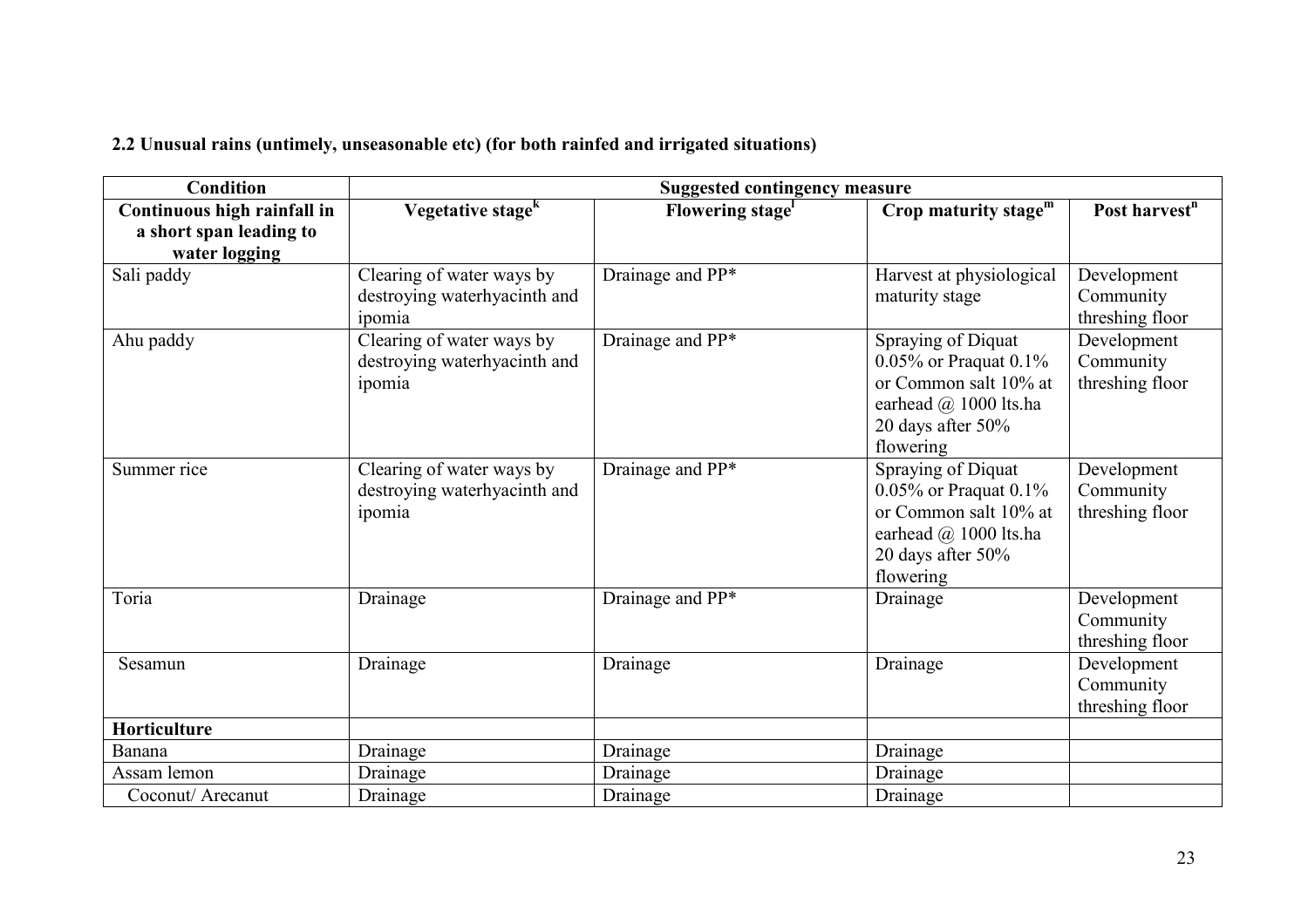|  |  |  |  |  | 2.2 Unusual rains (untimely, unseasonable etc) (for both rainfed and irrigated situations) |
|--|--|--|--|--|--------------------------------------------------------------------------------------------|
|  |  |  |  |  |                                                                                            |

| <b>Condition</b>            | <b>Suggested contingency measure</b>                                |                  |                                                                                                                                          |                                             |  |  |  |
|-----------------------------|---------------------------------------------------------------------|------------------|------------------------------------------------------------------------------------------------------------------------------------------|---------------------------------------------|--|--|--|
| Continuous high rainfall in | Vegetative stage <sup>k</sup>                                       | Flowering stage  | Crop maturity stage $m$                                                                                                                  | Post harvest <sup>n</sup>                   |  |  |  |
| a short span leading to     |                                                                     |                  |                                                                                                                                          |                                             |  |  |  |
| water logging               |                                                                     |                  |                                                                                                                                          |                                             |  |  |  |
| Sali paddy                  | Clearing of water ways by<br>destroying waterhyacinth and<br>ipomia | Drainage and PP* | Harvest at physiological<br>maturity stage                                                                                               | Development<br>Community<br>threshing floor |  |  |  |
| Ahu paddy                   | Clearing of water ways by<br>destroying waterhyacinth and<br>ipomia | Drainage and PP* | Spraying of Diquat<br>$0.05\%$ or Praquat $0.1\%$<br>or Common salt 10% at<br>earhead @ 1000 lts.ha<br>20 days after $50\%$<br>flowering | Development<br>Community<br>threshing floor |  |  |  |
| Summer rice                 | Clearing of water ways by<br>destroying waterhyacinth and<br>ipomia | Drainage and PP* | Spraying of Diquat<br>$0.05\%$ or Praquat $0.1\%$<br>or Common salt 10% at<br>earhead @ 1000 lts.ha<br>20 days after 50%<br>flowering    | Development<br>Community<br>threshing floor |  |  |  |
| Toria                       | Drainage                                                            | Drainage and PP* | Drainage                                                                                                                                 | Development<br>Community<br>threshing floor |  |  |  |
| Sesamun                     | Drainage                                                            | Drainage         | Drainage                                                                                                                                 | Development<br>Community<br>threshing floor |  |  |  |
| Horticulture                |                                                                     |                  |                                                                                                                                          |                                             |  |  |  |
| Banana                      | Drainage                                                            | Drainage         | Drainage                                                                                                                                 |                                             |  |  |  |
| Assam lemon                 | Drainage                                                            | Drainage         | Drainage                                                                                                                                 |                                             |  |  |  |
| Coconut/ Arecanut           | Drainage                                                            | Drainage         | Drainage                                                                                                                                 |                                             |  |  |  |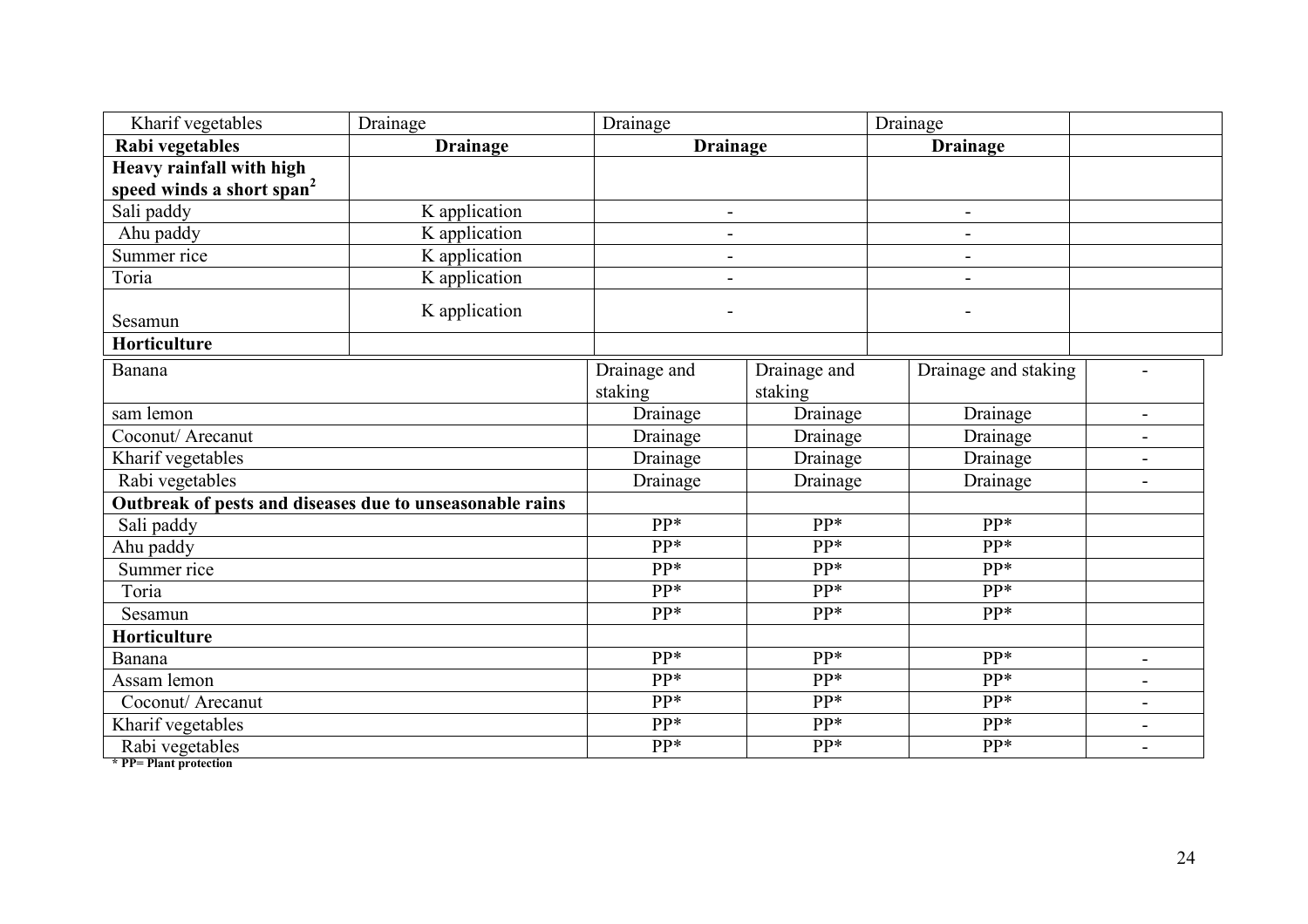| Kharif vegetables                                        | Drainage        | Drainage                 |                         | Drainage             |                |
|----------------------------------------------------------|-----------------|--------------------------|-------------------------|----------------------|----------------|
| Rabi vegetables                                          | <b>Drainage</b> | <b>Drainage</b>          |                         | <b>Drainage</b>      |                |
| Heavy rainfall with high                                 |                 |                          |                         |                      |                |
| speed winds a short span <sup>2</sup>                    |                 |                          |                         |                      |                |
| Sali paddy                                               | K application   | $\overline{\phantom{0}}$ |                         | -                    |                |
| Ahu paddy                                                | K application   | $\overline{\phantom{a}}$ |                         | $\blacksquare$       |                |
| Summer rice                                              | K application   | $\overline{\phantom{a}}$ |                         | -                    |                |
| Toria                                                    | K application   | $\overline{\phantom{a}}$ |                         | -                    |                |
| Sesamun                                                  | K application   |                          |                         |                      |                |
| Horticulture                                             |                 |                          |                         |                      |                |
| Banana                                                   |                 | Drainage and<br>staking  | Drainage and<br>staking | Drainage and staking |                |
| sam lemon                                                |                 | Drainage                 | Drainage                | Drainage             | $\blacksquare$ |
| Coconut/ Arecanut                                        |                 | Drainage                 | Drainage                | Drainage             |                |
| Kharif vegetables                                        |                 | Drainage                 | Drainage                | Drainage             |                |
| Rabi vegetables                                          |                 | Drainage                 | Drainage                | Drainage             | $\blacksquare$ |
| Outbreak of pests and diseases due to unseasonable rains |                 |                          |                         |                      |                |
| Sali paddy                                               |                 | pp*                      | pp*                     | pp*                  |                |
| Ahu paddy                                                |                 | pp*                      | pp*                     | pp*                  |                |
| Summer rice                                              |                 | pp*                      | pp*                     | pp*                  |                |
| Toria                                                    |                 | pp*                      | PP*                     | pp*                  |                |
| Sesamun                                                  |                 | pp*                      | pp*                     | $PP*$                |                |
| <b>Horticulture</b>                                      |                 |                          |                         |                      |                |
| Banana                                                   |                 | pp*                      | pp*                     | pp*                  | $\sim$         |
| Assam lemon                                              |                 | $PP*$                    | pp*                     | pp*                  |                |
| Coconut/ Arecanut                                        |                 | pp*                      | PP*                     | pp*                  |                |
| Kharif vegetables                                        |                 | pp*                      | pp*                     | pp*                  | $\blacksquare$ |
| Rabi vegetables<br>$\star$ PP- Plant protection          |                 | pp*                      | PP*                     | pp*                  |                |

\* PP= Plant protection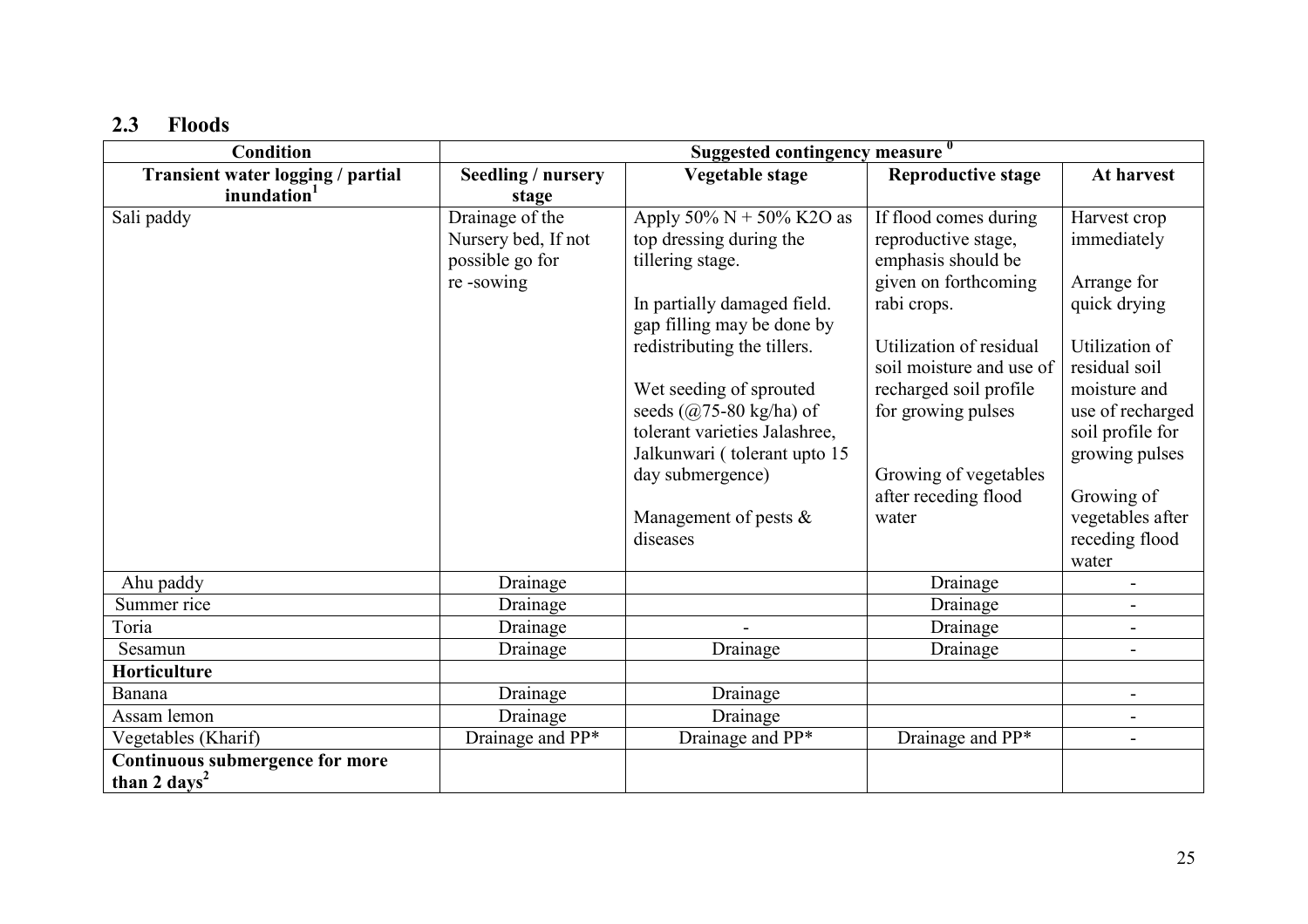# 2.3 Floods

| <b>Condition</b>                  | Suggested contingency measure 0 |                               |                           |                          |  |  |
|-----------------------------------|---------------------------------|-------------------------------|---------------------------|--------------------------|--|--|
| Transient water logging / partial | <b>Seedling / nursery</b>       | Vegetable stage               | <b>Reproductive stage</b> | At harvest               |  |  |
| inundation <sup>1</sup>           | stage                           |                               |                           |                          |  |  |
| Sali paddy                        | Drainage of the                 | Apply 50% $N + 50%$ K2O as    | If flood comes during     | Harvest crop             |  |  |
|                                   | Nursery bed, If not             | top dressing during the       | reproductive stage,       | immediately              |  |  |
|                                   | possible go for                 | tillering stage.              | emphasis should be        |                          |  |  |
|                                   | re-sowing                       |                               | given on forthcoming      | Arrange for              |  |  |
|                                   |                                 | In partially damaged field.   | rabi crops.               | quick drying             |  |  |
|                                   |                                 | gap filling may be done by    |                           |                          |  |  |
|                                   |                                 | redistributing the tillers.   | Utilization of residual   | Utilization of           |  |  |
|                                   |                                 |                               | soil moisture and use of  | residual soil            |  |  |
|                                   |                                 | Wet seeding of sprouted       | recharged soil profile    | moisture and             |  |  |
|                                   |                                 | seeds $(a)$ 75-80 kg/ha) of   | for growing pulses        | use of recharged         |  |  |
|                                   |                                 | tolerant varieties Jalashree, |                           | soil profile for         |  |  |
|                                   |                                 | Jalkunwari (tolerant upto 15  |                           | growing pulses           |  |  |
|                                   |                                 | day submergence)              | Growing of vegetables     |                          |  |  |
|                                   |                                 |                               | after receding flood      | Growing of               |  |  |
|                                   |                                 | Management of pests $\&$      | water                     | vegetables after         |  |  |
|                                   |                                 | diseases                      |                           | receding flood           |  |  |
|                                   |                                 |                               |                           | water                    |  |  |
| Ahu paddy                         | Drainage                        |                               | Drainage                  |                          |  |  |
| Summer rice                       | Drainage                        |                               | Drainage                  |                          |  |  |
| Toria                             | Drainage                        |                               | Drainage                  |                          |  |  |
| Sesamun                           | Drainage                        | Drainage                      | Drainage                  | $\overline{\phantom{a}}$ |  |  |
| Horticulture                      |                                 |                               |                           |                          |  |  |
| Banana                            | Drainage                        | Drainage                      |                           |                          |  |  |
| Assam lemon                       | Drainage                        | Drainage                      |                           | $\overline{\phantom{a}}$ |  |  |
| Vegetables (Kharif)               | Drainage and PP*                | Drainage and PP*              | Drainage and PP*          |                          |  |  |
| Continuous submergence for more   |                                 |                               |                           |                          |  |  |
| than 2 days <sup>2</sup>          |                                 |                               |                           |                          |  |  |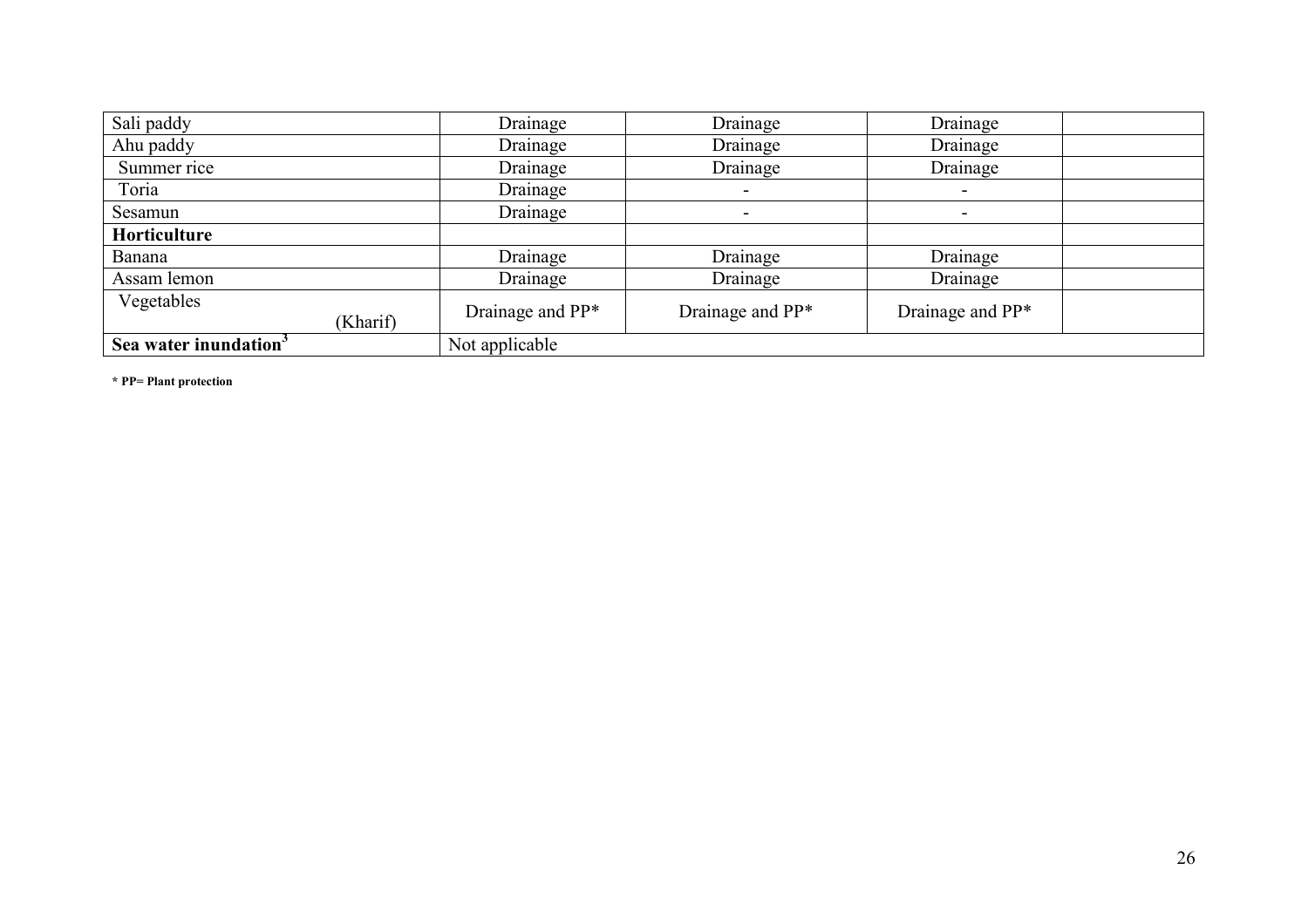| Sali paddy                        | Drainage         | Drainage                 | Drainage                 |  |
|-----------------------------------|------------------|--------------------------|--------------------------|--|
| Ahu paddy                         | Drainage         | Drainage                 | Drainage                 |  |
| Summer rice                       | Drainage         | Drainage                 | Drainage                 |  |
| Toria                             | Drainage         | $\overline{\phantom{a}}$ | $\,$                     |  |
| Sesamun                           | Drainage         | $\overline{\phantom{0}}$ | $\overline{\phantom{a}}$ |  |
| Horticulture                      |                  |                          |                          |  |
| Banana                            | Drainage         | Drainage                 | Drainage                 |  |
| Assam lemon                       | Drainage         | Drainage                 | Drainage                 |  |
| Vegetables<br>(Kharif)            | Drainage and PP* | Drainage and PP*         | Drainage and PP*         |  |
| Sea water inundation <sup>3</sup> | Not applicable   |                          |                          |  |

\* PP= Plant protection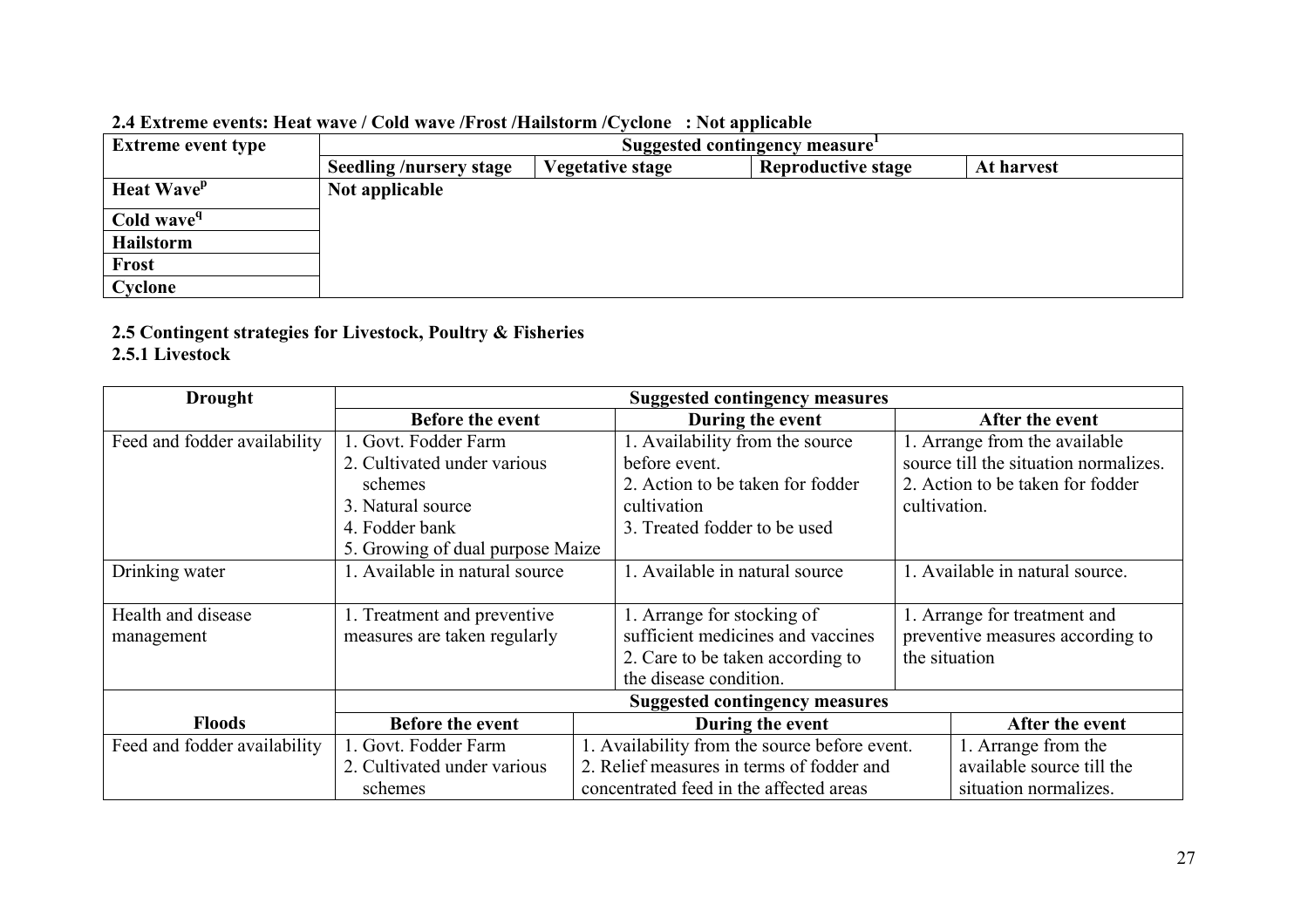| <b>Extreme event type</b> | $\blacksquare$ . Extreme events, heat wave gond wave grose granstorm gevente $\lightharpoonup$ , the applicable<br>Suggested contingency measure |                         |                           |            |  |
|---------------------------|--------------------------------------------------------------------------------------------------------------------------------------------------|-------------------------|---------------------------|------------|--|
|                           | <b>Seedling /nursery stage</b>                                                                                                                   | <b>Vegetative stage</b> | <b>Reproductive stage</b> | At harvest |  |
| Heat Wave <sup>p</sup>    | Not applicable                                                                                                                                   |                         |                           |            |  |
| Cold wave <sup>q</sup>    |                                                                                                                                                  |                         |                           |            |  |
| Hailstorm                 |                                                                                                                                                  |                         |                           |            |  |
| <b>Frost</b>              |                                                                                                                                                  |                         |                           |            |  |
| Cyclone                   |                                                                                                                                                  |                         |                           |            |  |

#### 2.4 Extreme events: Heat wave / Cold wave /Frost /Hailstorm /Cyclone : Not applicable

# 2.5 Contingent strategies for Livestock, Poultry & Fisheries

# 2.5.1 Livestock

| <b>Drought</b>               | <b>Suggested contingency measures</b>                                    |  |                                         |                           |                                       |
|------------------------------|--------------------------------------------------------------------------|--|-----------------------------------------|---------------------------|---------------------------------------|
|                              | <b>Before the event</b>                                                  |  | During the event                        |                           | After the event                       |
| Feed and fodder availability | 1. Govt. Fodder Farm                                                     |  | 1. Availability from the source         |                           | 1. Arrange from the available         |
|                              | 2. Cultivated under various                                              |  | before event.                           |                           | source till the situation normalizes. |
|                              | schemes                                                                  |  | 2. Action to be taken for fodder        |                           | 2. Action to be taken for fodder      |
|                              | 3. Natural source                                                        |  | cultivation                             | cultivation.              |                                       |
|                              | 4. Fodder bank                                                           |  | 3. Treated fodder to be used            |                           |                                       |
|                              | 5. Growing of dual purpose Maize                                         |  |                                         |                           |                                       |
| Drinking water               | 1. Available in natural source                                           |  | 1. Available in natural source          |                           | 1. Available in natural source.       |
|                              |                                                                          |  |                                         |                           |                                       |
| Health and disease           | 1. Treatment and preventive                                              |  | 1. Arrange for stocking of              |                           | 1. Arrange for treatment and          |
| management                   | measures are taken regularly                                             |  | sufficient medicines and vaccines       |                           | preventive measures according to      |
|                              |                                                                          |  | 2. Care to be taken according to        |                           | the situation                         |
|                              | the disease condition.                                                   |  |                                         |                           |                                       |
|                              | <b>Suggested contingency measures</b>                                    |  |                                         |                           |                                       |
| <b>Floods</b>                | <b>Before the event</b><br>During the event                              |  |                                         | After the event           |                                       |
| Feed and fodder availability | 1. Availability from the source before event.<br>1. Govt. Fodder Farm    |  |                                         | 1. Arrange from the       |                                       |
|                              | 2. Relief measures in terms of fodder and<br>2. Cultivated under various |  |                                         | available source till the |                                       |
|                              | schemes                                                                  |  | concentrated feed in the affected areas |                           | situation normalizes.                 |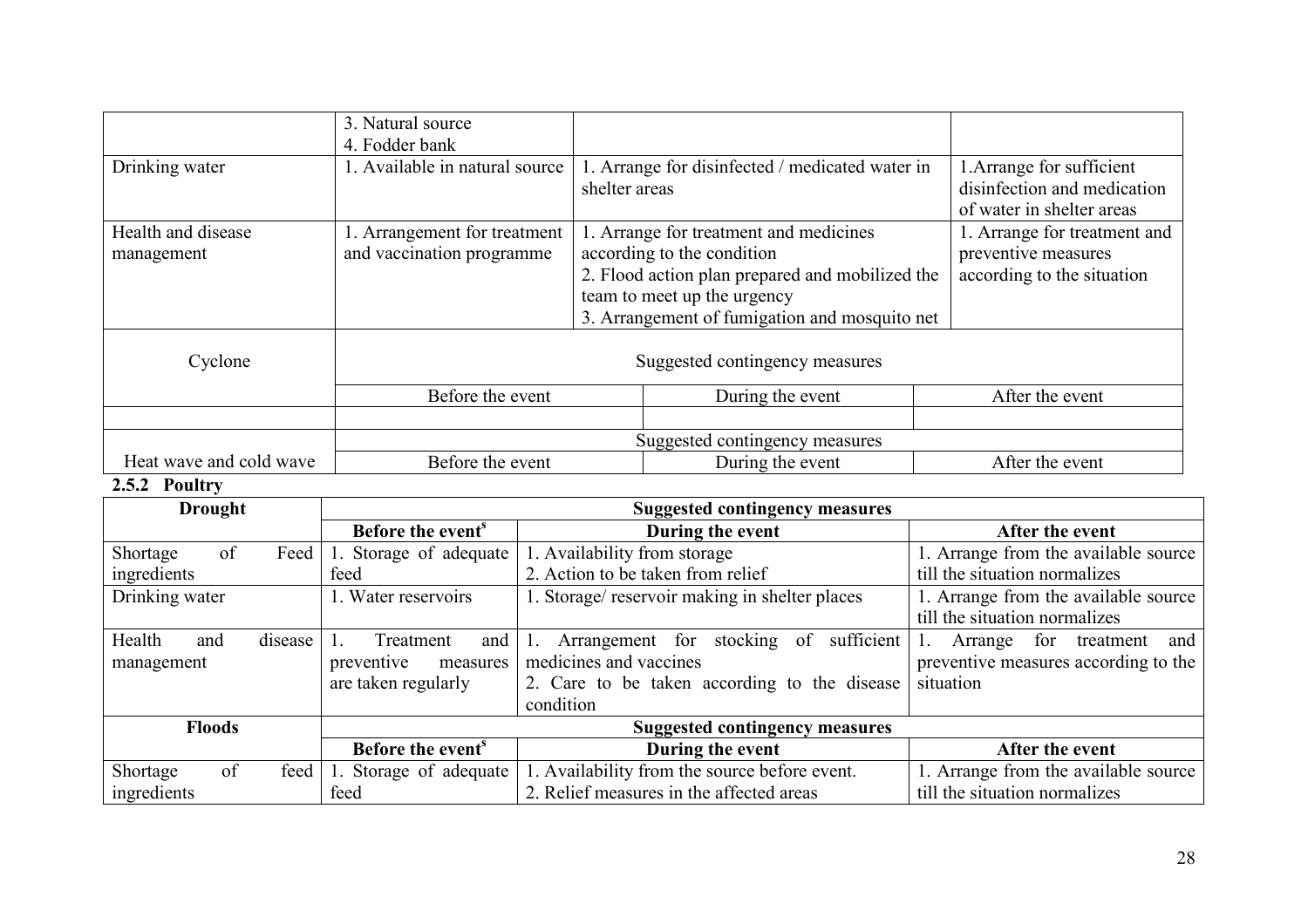|                                  | 3. Natural source<br>4. Fodder bank                       |               |                                                                                                                                                                                                         |                                                                                       |
|----------------------------------|-----------------------------------------------------------|---------------|---------------------------------------------------------------------------------------------------------------------------------------------------------------------------------------------------------|---------------------------------------------------------------------------------------|
| Drinking water                   | 1. Available in natural source                            | shelter areas | 1. Arrange for disinfected / medicated water in                                                                                                                                                         | 1. Arrange for sufficient<br>disinfection and medication<br>of water in shelter areas |
| Health and disease<br>management | 1. Arrangement for treatment<br>and vaccination programme |               | 1. Arrange for treatment and medicines<br>according to the condition<br>2. Flood action plan prepared and mobilized the<br>team to meet up the urgency<br>3. Arrangement of fumigation and mosquito net | 1. Arrange for treatment and<br>preventive measures<br>according to the situation     |
| Cyclone                          | Suggested contingency measures                            |               |                                                                                                                                                                                                         |                                                                                       |
|                                  | Before the event                                          |               | During the event                                                                                                                                                                                        | After the event                                                                       |
|                                  |                                                           |               |                                                                                                                                                                                                         |                                                                                       |
|                                  | Suggested contingency measures                            |               |                                                                                                                                                                                                         |                                                                                       |
| Heat wave and cold wave          | Before the event                                          |               | During the event                                                                                                                                                                                        | After the event                                                                       |

# 2.5.2 Poultry

| <b>Drought</b>           |      |                               | <b>Suggested contingency measures</b>                         |                                      |  |
|--------------------------|------|-------------------------------|---------------------------------------------------------------|--------------------------------------|--|
|                          |      | Before the event <sup>s</sup> | During the event                                              | After the event                      |  |
| of<br>Shortage           | Feed | 1. Storage of adequate        | 1. Availability from storage                                  | 1. Arrange from the available source |  |
| ingredients              |      | feed                          | 2. Action to be taken from relief                             | till the situation normalizes        |  |
| Drinking water           |      | 1. Water reservoirs           | 1. Storage/ reservoir making in shelter places                | 1. Arrange from the available source |  |
|                          |      |                               |                                                               | till the situation normalizes        |  |
| Health<br>disease<br>and |      | Treatment<br>and              | sufficient<br>for<br>stocking<br>Arrangement<br><sub>of</sub> | for<br>treatment<br>Arrange<br>and   |  |
| management               |      | preventive<br>measures        | medicines and vaccines                                        | preventive measures according to the |  |
|                          |      | are taken regularly           | 2. Care to be taken according to the disease                  | situation                            |  |
|                          |      |                               | condition                                                     |                                      |  |
| <b>Floods</b>            |      |                               | <b>Suggested contingency measures</b>                         |                                      |  |
|                          |      | Before the event <sup>s</sup> | During the event                                              | After the event                      |  |
| of<br>Shortage           | feed | 1. Storage of adequate        | 1. Availability from the source before event.                 | 1. Arrange from the available source |  |
| ingredients              |      | feed                          | 2. Relief measures in the affected areas                      | till the situation normalizes        |  |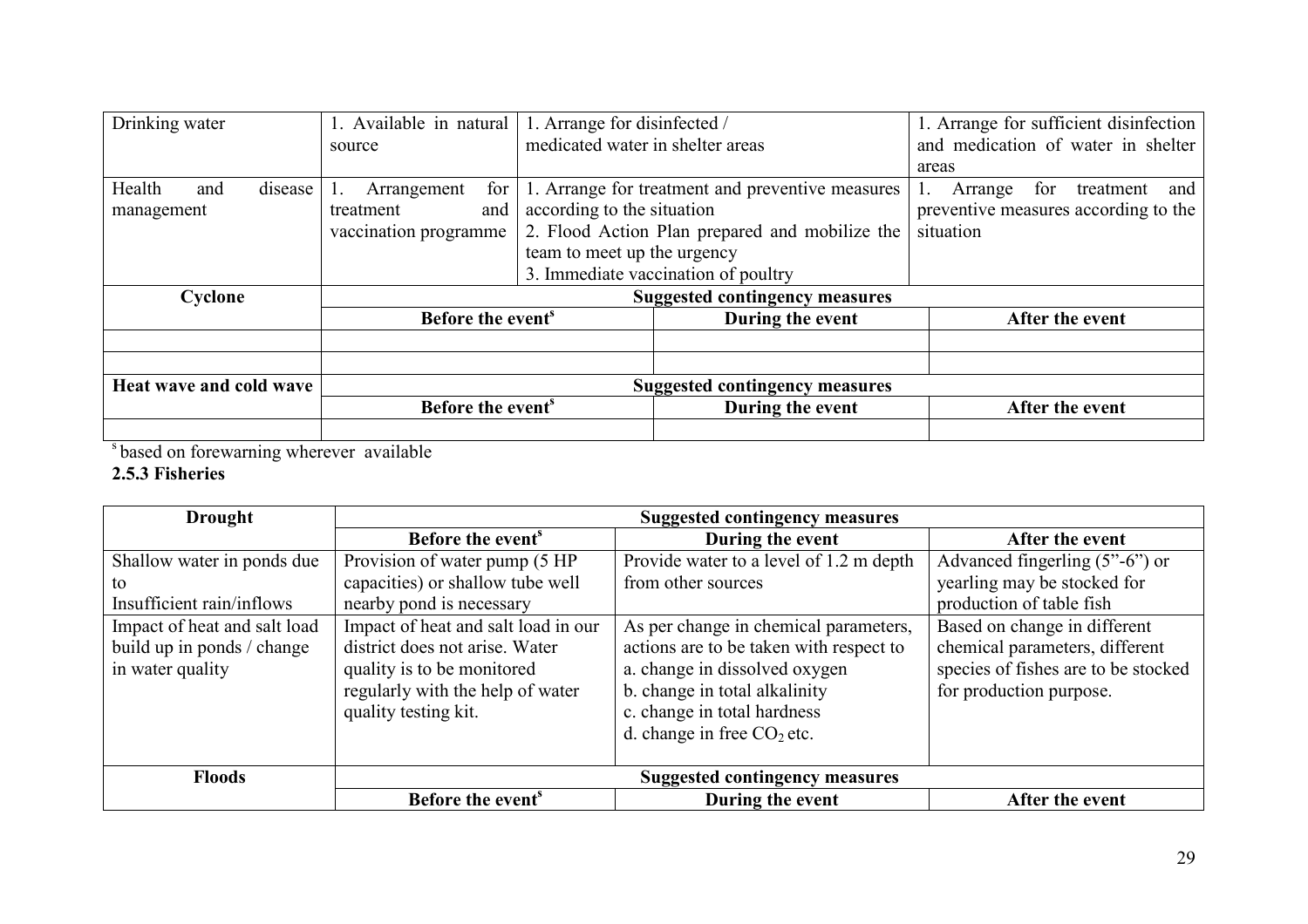| Drinking water                | 1. Available in natural               | 1. Arrange for disinfected /        |                                                  | 1. Arrange for sufficient disinfection |
|-------------------------------|---------------------------------------|-------------------------------------|--------------------------------------------------|----------------------------------------|
|                               | source                                | medicated water in shelter areas    |                                                  | and medication of water in shelter     |
|                               |                                       |                                     |                                                  | areas                                  |
| Health<br>disease<br>and      | for<br>Arrangement                    |                                     | 1. Arrange for treatment and preventive measures | for<br>treatment<br>Arrange<br>and     |
| management                    | treatment<br>and                      | according to the situation          |                                                  | preventive measures according to the   |
|                               | vaccination programme                 |                                     | 2. Flood Action Plan prepared and mobilize the   | situation                              |
|                               |                                       | team to meet up the urgency         |                                                  |                                        |
|                               |                                       | 3. Immediate vaccination of poultry |                                                  |                                        |
| Cyclone                       | <b>Suggested contingency measures</b> |                                     |                                                  |                                        |
| Before the event <sup>s</sup> |                                       |                                     | During the event                                 | After the event                        |
|                               |                                       |                                     |                                                  |                                        |
|                               |                                       |                                     |                                                  |                                        |
| Heat wave and cold wave       | <b>Suggested contingency measures</b> |                                     |                                                  |                                        |
|                               | Before the event <sup>s</sup>         |                                     | During the event                                 | After the event                        |
|                               |                                       |                                     |                                                  |                                        |

s based on forewarning wherever available

# 2.5.3 Fisheries

| <b>Drought</b>               | <b>Suggested contingency measures</b> |                                         |                                                 |  |
|------------------------------|---------------------------------------|-----------------------------------------|-------------------------------------------------|--|
|                              | Before the event <sup>s</sup>         | During the event                        | After the event                                 |  |
| Shallow water in ponds due   | Provision of water pump (5 HP         | Provide water to a level of 1.2 m depth | Advanced fingerling $(5^{\prime\prime}$ -6") or |  |
| to                           | capacities) or shallow tube well      | from other sources                      | yearling may be stocked for                     |  |
| Insufficient rain/inflows    | nearby pond is necessary              |                                         | production of table fish                        |  |
| Impact of heat and salt load | Impact of heat and salt load in our   | As per change in chemical parameters,   | Based on change in different                    |  |
| build up in ponds / change   | district does not arise. Water        | actions are to be taken with respect to | chemical parameters, different                  |  |
| in water quality             | quality is to be monitored            | a. change in dissolved oxygen           | species of fishes are to be stocked             |  |
|                              | regularly with the help of water      | b. change in total alkalinity           | for production purpose.                         |  |
|                              | quality testing kit.                  | c. change in total hardness             |                                                 |  |
|                              |                                       | d. change in free $CO2$ etc.            |                                                 |  |
|                              |                                       |                                         |                                                 |  |
| <b>Floods</b>                | <b>Suggested contingency measures</b> |                                         |                                                 |  |
|                              | Before the event <sup>s</sup>         | During the event                        | After the event                                 |  |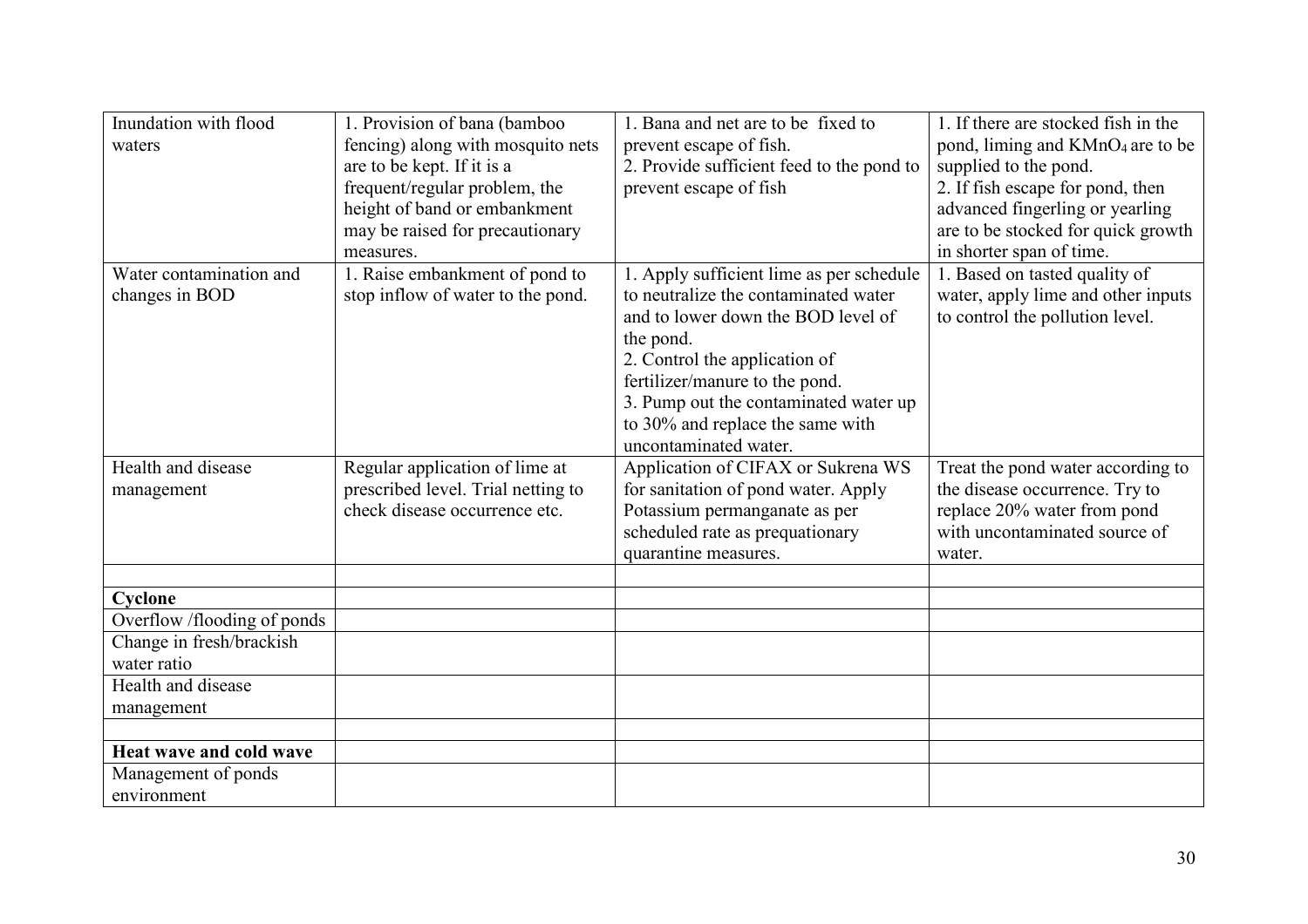| Inundation with flood                   | 1. Provision of bana (bamboo       | 1. Bana and net are to be fixed to        | 1. If there are stocked fish in the          |
|-----------------------------------------|------------------------------------|-------------------------------------------|----------------------------------------------|
| waters                                  | fencing) along with mosquito nets  | prevent escape of fish.                   | pond, liming and KMnO <sub>4</sub> are to be |
|                                         | are to be kept. If it is a         | 2. Provide sufficient feed to the pond to | supplied to the pond.                        |
|                                         | frequent/regular problem, the      | prevent escape of fish                    | 2. If fish escape for pond, then             |
|                                         | height of band or embankment       |                                           | advanced fingerling or yearling              |
|                                         | may be raised for precautionary    |                                           | are to be stocked for quick growth           |
|                                         | measures.                          |                                           | in shorter span of time.                     |
| Water contamination and                 | 1. Raise embankment of pond to     | 1. Apply sufficient lime as per schedule  | 1. Based on tasted quality of                |
| changes in BOD                          | stop inflow of water to the pond.  | to neutralize the contaminated water      | water, apply lime and other inputs           |
|                                         |                                    | and to lower down the BOD level of        | to control the pollution level.              |
|                                         |                                    | the pond.                                 |                                              |
|                                         |                                    | 2. Control the application of             |                                              |
|                                         |                                    | fertilizer/manure to the pond.            |                                              |
|                                         |                                    | 3. Pump out the contaminated water up     |                                              |
|                                         |                                    | to 30% and replace the same with          |                                              |
|                                         |                                    | uncontaminated water.                     |                                              |
| Health and disease                      | Regular application of lime at     | Application of CIFAX or Sukrena WS        | Treat the pond water according to            |
| management                              | prescribed level. Trial netting to | for sanitation of pond water. Apply       | the disease occurrence. Try to               |
|                                         | check disease occurrence etc.      | Potassium permanganate as per             | replace 20% water from pond                  |
|                                         |                                    | scheduled rate as prequationary           | with uncontaminated source of                |
|                                         |                                    | quarantine measures.                      | water.                                       |
|                                         |                                    |                                           |                                              |
| Cyclone                                 |                                    |                                           |                                              |
| Overflow /flooding of ponds             |                                    |                                           |                                              |
| Change in fresh/brackish<br>water ratio |                                    |                                           |                                              |
|                                         |                                    |                                           |                                              |
| Health and disease                      |                                    |                                           |                                              |
| management                              |                                    |                                           |                                              |
| <b>Heat wave and cold wave</b>          |                                    |                                           |                                              |
|                                         |                                    |                                           |                                              |
| Management of ponds<br>environment      |                                    |                                           |                                              |
|                                         |                                    |                                           |                                              |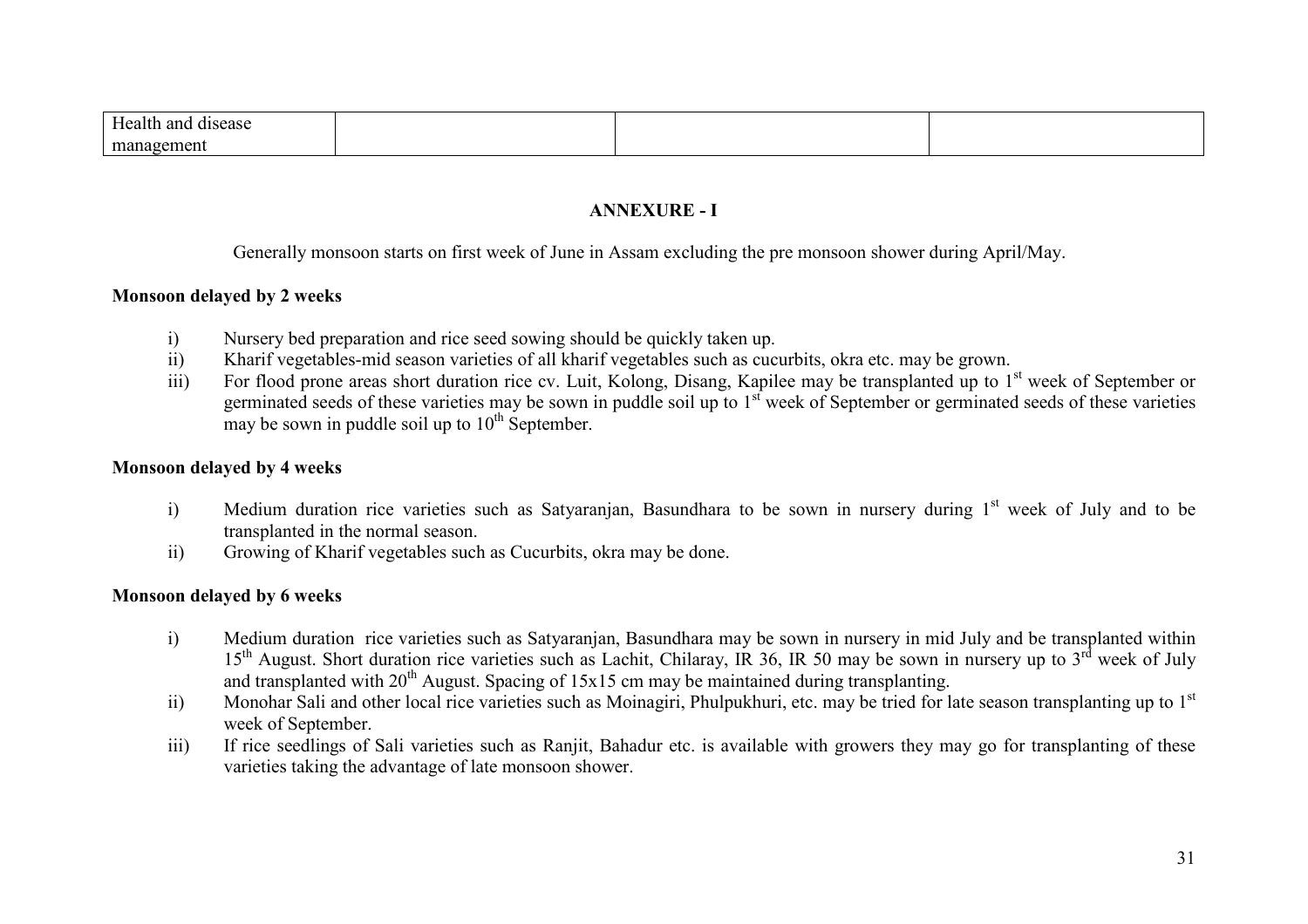| $\mathbf{v}$<br>анс<br>лv.<br>n. |  |  |
|----------------------------------|--|--|
| m.<br>. .                        |  |  |

## ANNEXURE - I

Generally monsoon starts on first week of June in Assam excluding the pre monsoon shower during April/May.

#### Monsoon delayed by 2 weeks

- i)Nursery bed preparation and rice seed sowing should be quickly taken up.
- ii)Kharif vegetables-mid season varieties of all kharif vegetables such as cucurbits, okra etc. may be grown.
- iii)For flood prone areas short duration rice cv. Luit, Kolong, Disang, Kapilee may be transplanted up to 1<sup>st</sup> week of September or germinated seeds of these varieties may be sown in puddle soil up to 1<sup>st</sup> week of September or germinated seeds of these varieties may be sown in puddle soil up to  $10<sup>th</sup>$  September.

#### Monsoon delayed by 4 weeks

- i)Medium duration rice varieties such as Satyaranjan, Basundhara to be sown in nursery during  $1<sup>st</sup>$  week of July and to be transplanted in the normal season.
- Growing of Kharif vegetables such as Cucurbits, okra may be done. ii)

#### Monsoon delayed by 6 weeks

- i) Medium duration rice varieties such as Satyaranjan, Basundhara may be sown in nursery in mid July and be transplanted within  $15<sup>th</sup>$  August. Short duration rice varieties such as Lachit, Chilaray, IR 36, IR 50 may be sown in nursery up to 3<sup>rd</sup> week of July and transplanted with  $20^{th}$  August. Spacing of  $15x15$  cm may be maintained during transplanting.
- Monohar Sali and other local rice varieties such as Moinagiri, Phulpukhuri, etc. may be tried for late season transplanting up to  $1<sup>st</sup>$ ii)week of September.
- If rice seedlings of Sali varieties such as Ranjit, Bahadur etc. is available with growers they may go for transplanting of these iii)varieties taking the advantage of late monsoon shower.